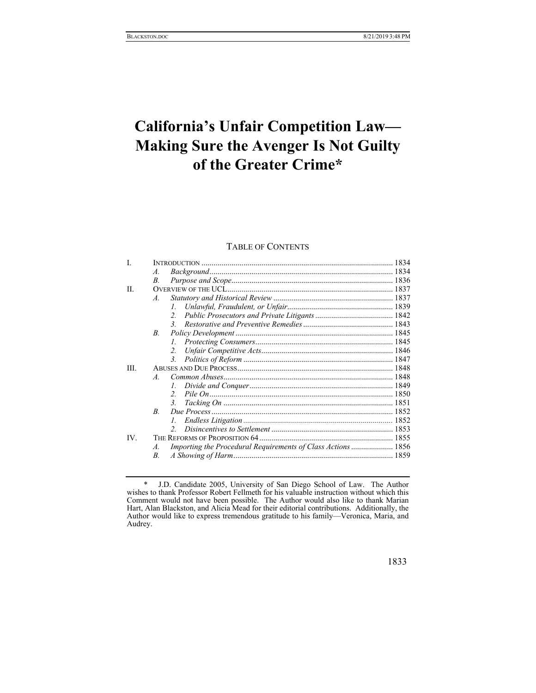# **California's Unfair Competition Law— Making Sure the Avenger Is Not Guilty of the Greater Crime\***

## TABLE OF CONTENTS

| L    |                                                                    |  |
|------|--------------------------------------------------------------------|--|
|      | $\mathcal{A}$ .                                                    |  |
|      | В.                                                                 |  |
| II.  |                                                                    |  |
|      | $\mathcal{A}$ .                                                    |  |
|      | $l_{\perp}$                                                        |  |
|      |                                                                    |  |
|      |                                                                    |  |
|      | $B_{\cdot}$                                                        |  |
|      | $\mathcal{I}$                                                      |  |
|      |                                                                    |  |
|      | 3.                                                                 |  |
| III. |                                                                    |  |
|      | $\overline{A}$                                                     |  |
|      |                                                                    |  |
|      | $2^{\circ}$                                                        |  |
|      | 3.                                                                 |  |
|      | $\overline{B}$                                                     |  |
|      |                                                                    |  |
|      |                                                                    |  |
| IV.  |                                                                    |  |
|      | Importing the Procedural Requirements of Class Actions  1856<br>A. |  |
|      | $B_{\cdot}$                                                        |  |

 <sup>\*</sup> J.D. Candidate 2005, University of San Diego School of Law. The Author wishes to thank Professor Robert Fellmeth for his valuable instruction without which this Comment would not have been possible. The Author would also like to thank Marian Hart, Alan Blackston, and Alicia Mead for their editorial contributions. Additionally, the Author would like to express tremendous gratitude to his family—Veronica, Maria, and Audrey.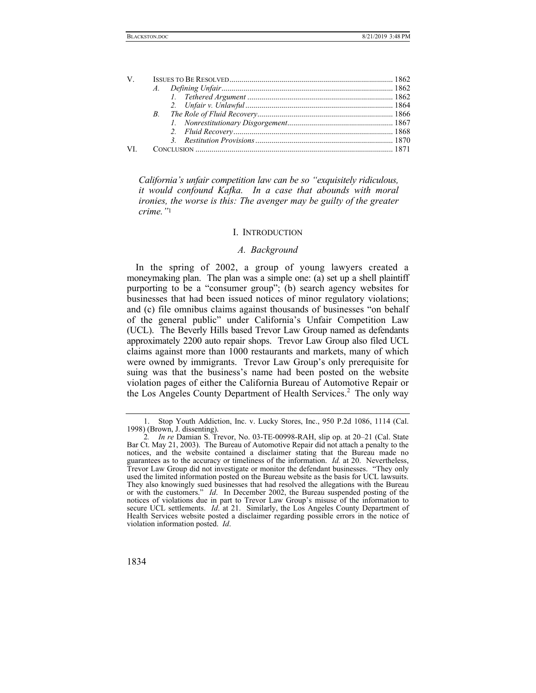| V — |  |  |
|-----|--|--|
|     |  |  |
|     |  |  |
|     |  |  |
|     |  |  |
|     |  |  |
|     |  |  |
|     |  |  |
| VI  |  |  |
|     |  |  |

*California's unfair competition law can be so "exquisitely ridiculous, it would confound Kafka. In a case that abounds with moral ironies, the worse is this: The avenger may be guilty of the greater crime."*<sup>1</sup>

#### I. INTRODUCTION

#### *A. Background*

In the spring of 2002, a group of young lawyers created a moneymaking plan. The plan was a simple one: (a) set up a shell plaintiff purporting to be a "consumer group"; (b) search agency websites for businesses that had been issued notices of minor regulatory violations; and (c) file omnibus claims against thousands of businesses "on behalf of the general public" under California's Unfair Competition Law (UCL). The Beverly Hills based Trevor Law Group named as defendants approximately 2200 auto repair shops. Trevor Law Group also filed UCL claims against more than 1000 restaurants and markets, many of which were owned by immigrants. Trevor Law Group's only prerequisite for suing was that the business's name had been posted on the website violation pages of either the California Bureau of Automotive Repair or the Los Angeles County Department of Health Services.<sup>2</sup> The only way

<sup>2</sup>*. In re* Damian S. Trevor, No. 03-TE-00998-RAH, slip op. at 20–21 (Cal. State Bar Ct. May 21, 2003). The Bureau of Automotive Repair did not attach a penalty to the notices, and the website contained a disclaimer stating that the Bureau made no guarantees as to the accuracy or timeliness of the information. *Id.* at 20. Nevertheless, Trevor Law Group did not investigate or monitor the defendant businesses. "They only used the limited information posted on the Bureau website as the basis for UCL lawsuits. They also knowingly sued businesses that had resolved the allegations with the Bureau or with the customers." *Id*. In December 2002, the Bureau suspended posting of the notices of violations due in part to Trevor Law Group's misuse of the information to secure UCL settlements. *Id*. at 21. Similarly, the Los Angeles County Department of Health Services website posted a disclaimer regarding possible errors in the notice of violation information posted. *Id*.



 <sup>1.</sup> Stop Youth Addiction, Inc. v. Lucky Stores, Inc., 950 P.2d 1086, 1114 (Cal. 1998) (Brown, J. dissenting).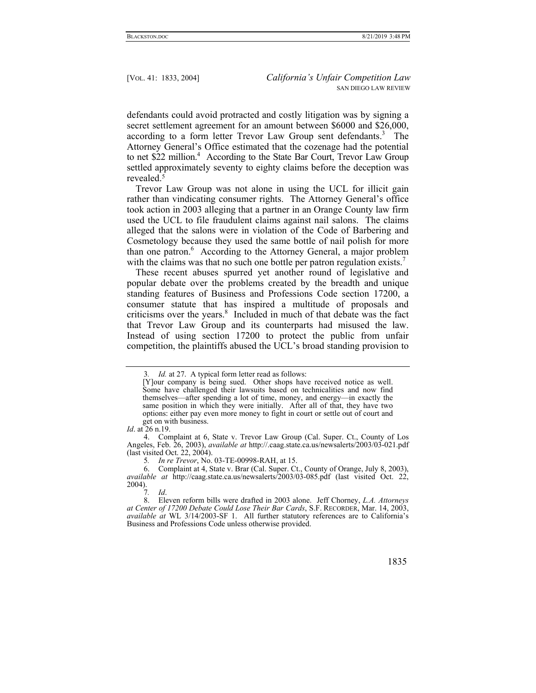defendants could avoid protracted and costly litigation was by signing a secret settlement agreement for an amount between \$6000 and \$26,000, according to a form letter Trevor Law Group sent defendants.<sup>3</sup> The Attorney General's Office estimated that the cozenage had the potential to net \$22 million.<sup>4</sup> According to the State Bar Court, Trevor Law Group settled approximately seventy to eighty claims before the deception was revealed.5

Trevor Law Group was not alone in using the UCL for illicit gain rather than vindicating consumer rights. The Attorney General's office took action in 2003 alleging that a partner in an Orange County law firm used the UCL to file fraudulent claims against nail salons. The claims alleged that the salons were in violation of the Code of Barbering and Cosmetology because they used the same bottle of nail polish for more than one patron.<sup>6</sup> According to the Attorney General, a major problem with the claims was that no such one bottle per patron regulation exists.<sup>7</sup>

These recent abuses spurred yet another round of legislative and popular debate over the problems created by the breadth and unique standing features of Business and Professions Code section 17200, a consumer statute that has inspired a multitude of proposals and criticisms over the years.<sup>8</sup> Included in much of that debate was the fact that Trevor Law Group and its counterparts had misused the law. Instead of using section 17200 to protect the public from unfair competition, the plaintiffs abused the UCL's broad standing provision to

<sup>3</sup>*. Id.* at 27. A typical form letter read as follows:

<sup>[</sup>Y]our company is being sued. Other shops have received notice as well. Some have challenged their lawsuits based on technicalities and now find themselves—after spending a lot of time, money, and energy—in exactly the same position in which they were initially. After all of that, they have two options: either pay even more money to fight in court or settle out of court and get on with business.

*Id*. at 26 n.19.

 <sup>4.</sup> Complaint at 6, State v. Trevor Law Group (Cal. Super. Ct., County of Los Angeles, Feb. 26, 2003), *available at* http://.caag.state.ca.us/newsalerts/2003/03-021.pdf (last visited Oct. 22, 2004).

<sup>5</sup>*. In re Trevor*, No. 03-TE-00998-RAH, at 15.

 <sup>6.</sup> Complaint at 4, State v. Brar (Cal. Super. Ct., County of Orange, July 8, 2003), *available at* http://caag.state.ca.us/newsalerts/2003/03-085.pdf (last visited Oct. 22, 2004).

<sup>7</sup>*. Id*.

 <sup>8.</sup> Eleven reform bills were drafted in 2003 alone. Jeff Chorney, *L.A. Attorneys at Center of 17200 Debate Could Lose Their Bar Cards*, S.F. RECORDER, Mar. 14, 2003, *available at* WL 3/14/2003-SF 1. All further statutory references are to California's Business and Professions Code unless otherwise provided.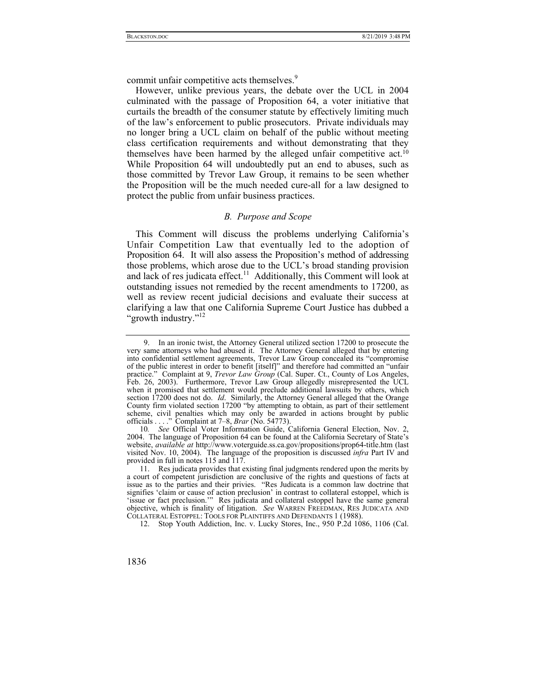commit unfair competitive acts themselves.<sup>9</sup>

However, unlike previous years, the debate over the UCL in 2004 culminated with the passage of Proposition 64, a voter initiative that curtails the breadth of the consumer statute by effectively limiting much of the law's enforcement to public prosecutors. Private individuals may no longer bring a UCL claim on behalf of the public without meeting class certification requirements and without demonstrating that they themselves have been harmed by the alleged unfair competitive act.10 While Proposition 64 will undoubtedly put an end to abuses, such as those committed by Trevor Law Group, it remains to be seen whether the Proposition will be the much needed cure-all for a law designed to protect the public from unfair business practices.

## *B. Purpose and Scope*

This Comment will discuss the problems underlying California's Unfair Competition Law that eventually led to the adoption of Proposition 64. It will also assess the Proposition's method of addressing those problems, which arose due to the UCL's broad standing provision and lack of res judicata effect.<sup>11</sup> Additionally, this Comment will look at outstanding issues not remedied by the recent amendments to 17200, as well as review recent judicial decisions and evaluate their success at clarifying a law that one California Supreme Court Justice has dubbed a "growth industry."<sup>12</sup>

12. Stop Youth Addiction, Inc. v. Lucky Stores, Inc., 950 P.2d 1086, 1106 (Cal.

 <sup>9.</sup> In an ironic twist, the Attorney General utilized section 17200 to prosecute the very same attorneys who had abused it. The Attorney General alleged that by entering into confidential settlement agreements, Trevor Law Group concealed its "compromise of the public interest in order to benefit [itself]" and therefore had committed an "unfair practice." Complaint at 9, *Trevor Law Group* (Cal. Super. Ct., County of Los Angeles, Feb. 26, 2003). Furthermore, Trevor Law Group allegedly misrepresented the UCL when it promised that settlement would preclude additional lawsuits by others, which section 17200 does not do. *Id*. Similarly, the Attorney General alleged that the Orange County firm violated section 17200 "by attempting to obtain, as part of their settlement scheme, civil penalties which may only be awarded in actions brought by public officials . . . ." Complaint at 7–8, *Brar* (No. 54773).

<sup>10</sup>*. See* Official Voter Information Guide, California General Election, Nov. 2, 2004. The language of Proposition 64 can be found at the California Secretary of State's website, *available at* http://www.voterguide.ss.ca.gov/propositions/prop64-title.htm (last visited Nov. 10, 2004). The language of the proposition is discussed *infra* Part IV and provided in full in notes 115 and 117.

 <sup>11.</sup> Res judicata provides that existing final judgments rendered upon the merits by a court of competent jurisdiction are conclusive of the rights and questions of facts at issue as to the parties and their privies. "Res Judicata is a common law doctrine that signifies 'claim or cause of action preclusion' in contrast to collateral estoppel, which is 'issue or fact preclusion.'" Res judicata and collateral estoppel have the same general objective, which is finality of litigation. *See* WARREN FREEDMAN, RES JUDICATA AND COLLATERAL ESTOPPEL: TOOLS FOR PLAINTIFFS AND DEFENDANTS 1 (1988).

<sup>1836</sup>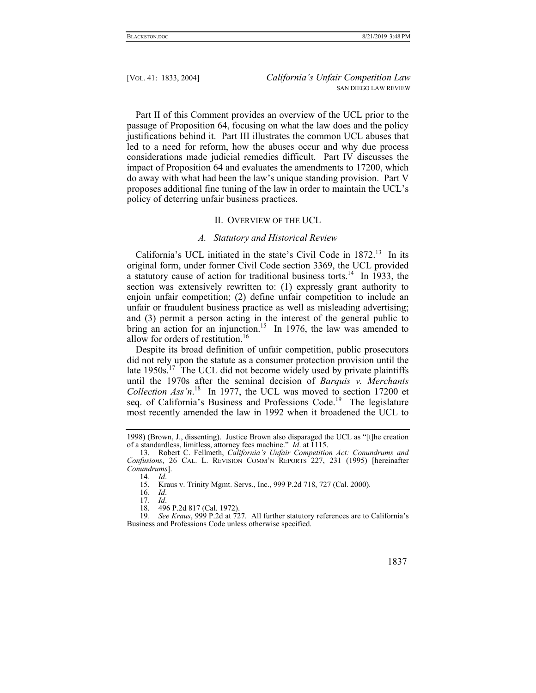Part II of this Comment provides an overview of the UCL prior to the passage of Proposition 64, focusing on what the law does and the policy justifications behind it. Part III illustrates the common UCL abuses that led to a need for reform, how the abuses occur and why due process considerations made judicial remedies difficult. Part IV discusses the impact of Proposition 64 and evaluates the amendments to 17200, which do away with what had been the law's unique standing provision. Part V proposes additional fine tuning of the law in order to maintain the UCL's policy of deterring unfair business practices.

#### II. OVERVIEW OF THE UCL

#### *A. Statutory and Historical Review*

California's UCL initiated in the state's Civil Code in  $1872<sup>13</sup>$  In its original form, under former Civil Code section 3369, the UCL provided a statutory cause of action for traditional business torts.<sup>14</sup> In 1933, the section was extensively rewritten to: (1) expressly grant authority to enjoin unfair competition; (2) define unfair competition to include an unfair or fraudulent business practice as well as misleading advertising; and (3) permit a person acting in the interest of the general public to bring an action for an injunction.<sup>15</sup> In 1976, the law was amended to allow for orders of restitution.<sup>16</sup>

Despite its broad definition of unfair competition, public prosecutors did not rely upon the statute as a consumer protection provision until the late  $1950s$ <sup>17</sup>. The UCL did not become widely used by private plaintiffs until the 1970s after the seminal decision of *Barquis v. Merchants Collection Ass'n*. 18 In 1977, the UCL was moved to section 17200 et seq. of California's Business and Professions Code.<sup>19</sup> The legislature most recently amended the law in 1992 when it broadened the UCL to

<sup>19</sup>*. See Kraus*, 999 P.2d at 727. All further statutory references are to California's Business and Professions Code unless otherwise specified.



<sup>1998) (</sup>Brown, J., dissenting). Justice Brown also disparaged the UCL as "[t]he creation of a standardless, limitless, attorney fees machine." *Id*. at 1115.

 <sup>13.</sup> Robert C. Fellmeth, *California's Unfair Competition Act: Conundrums and Confusions*, 26 CAL. L. REVISION COMM'N REPORTS 227, 231 (1995) [hereinafter *Conundrums*].

<sup>14</sup>*. Id*.

Kraus v. Trinity Mgmt. Servs., Inc., 999 P.2d 718, 727 (Cal. 2000).

<sup>16</sup>*. Id*.

<sup>17</sup>*. Id*.

 <sup>18. 496</sup> P.2d 817 (Cal. 1972).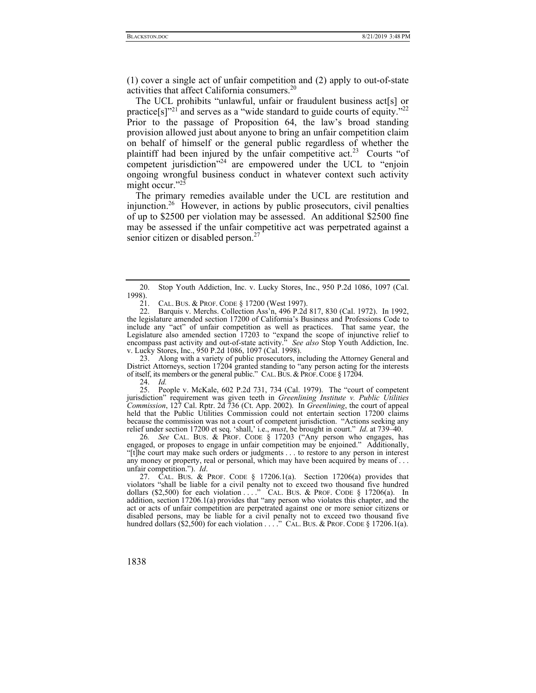(1) cover a single act of unfair competition and (2) apply to out-of-state activities that affect California consumers.<sup>20</sup>

The UCL prohibits "unlawful, unfair or fraudulent business act[s] or practice[s]"<sup>21</sup> and serves as a "wide standard to guide courts of equity."<sup>22</sup> Prior to the passage of Proposition 64, the law's broad standing provision allowed just about anyone to bring an unfair competition claim on behalf of himself or the general public regardless of whether the plaintiff had been injured by the unfair competitive act.<sup>23</sup> Courts "of competent jurisdiction"<sup>24</sup> are empowered under the UCL to "enjoin ongoing wrongful business conduct in whatever context such activity might occur."25

The primary remedies available under the UCL are restitution and injunction.26 However, in actions by public prosecutors, civil penalties of up to \$2500 per violation may be assessed. An additional \$2500 fine may be assessed if the unfair competitive act was perpetrated against a senior citizen or disabled person.<sup>27</sup>

 23. Along with a variety of public prosecutors, including the Attorney General and District Attorneys, section 17204 granted standing to "any person acting for the interests of itself, its members or the general public." CAL.BUS.&PROF.CODE § 17204.

24. *Id.*

 25. People v. McKale, 602 P.2d 731, 734 (Cal. 1979). The "court of competent jurisdiction" requirement was given teeth in *Greenlining Institute v. Public Utilities Commission*, 127 Cal. Rptr. 2d 736 (Ct. App. 2002). In *Greenlining*, the court of appeal held that the Public Utilities Commission could not entertain section 17200 claims because the commission was not a court of competent jurisdiction. "Actions seeking any relief under section 17200 et seq. 'shall,' i.e., *must*, be brought in court." *Id*. at 739–40.

26*. See* CAL. BUS. & PROF. CODE § 17203 ("Any person who engages, has engaged, or proposes to engage in unfair competition may be enjoined." Additionally, "[t]he court may make such orders or judgments . . . to restore to any person in interest any money or property, real or personal, which may have been acquired by means of . . . unfair competition."). *Id*.

 27. CAL. BUS. & PROF. CODE § 17206.1(a). Section 17206(a) provides that violators "shall be liable for a civil penalty not to exceed two thousand five hundred dollars (\$2,500) for each violation  $\ldots$  ." CAL. BUS. & PROF. CODE § 17206(a). In addition, section 17206.1(a) provides that "any person who violates this chapter, and the act or acts of unfair competition are perpetrated against one or more senior citizens or disabled persons, may be liable for a civil penalty not to exceed two thousand five hundred dollars (\$2,500) for each violation  $\dots$ ." CAL. BUS. & PROF. CODE § 17206.1(a).

 <sup>20.</sup> Stop Youth Addiction, Inc. v. Lucky Stores, Inc., 950 P.2d 1086, 1097 (Cal. 1998).

 <sup>21.</sup> CAL. BUS. & PROF. CODE § 17200 (West 1997).

 <sup>22.</sup> Barquis v. Merchs. Collection Ass'n, 496 P.2d 817, 830 (Cal. 1972). In 1992, the legislature amended section 17200 of California's Business and Professions Code to include any "act" of unfair competition as well as practices. That same year, the Legislature also amended section 17203 to "expand the scope of injunctive relief to encompass past activity and out-of-state activity." *See also* Stop Youth Addiction, Inc. v. Lucky Stores, Inc., 950 P.2d 1086, 1097 (Cal. 1998).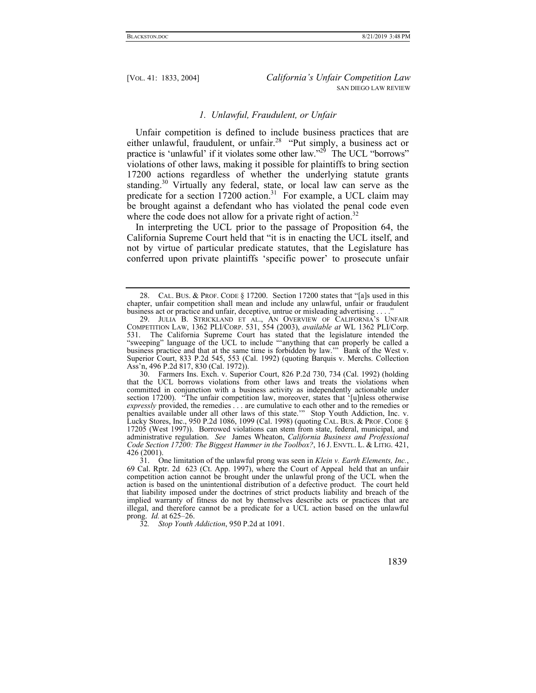## *1. Unlawful, Fraudulent, or Unfair*

Unfair competition is defined to include business practices that are either unlawful, fraudulent, or unfair.<sup>28</sup> "Put simply, a business act or practice is 'unlawful' if it violates some other law."<sup>29</sup> The UCL "borrows" violations of other laws, making it possible for plaintiffs to bring section 17200 actions regardless of whether the underlying statute grants standing.<sup>30</sup> Virtually any federal, state, or local law can serve as the predicate for a section 17200 action.<sup>31</sup> For example, a UCL claim may be brought against a defendant who has violated the penal code even where the code does not allow for a private right of action.<sup>32</sup>

In interpreting the UCL prior to the passage of Proposition 64, the California Supreme Court held that "it is in enacting the UCL itself, and not by virtue of particular predicate statutes, that the Legislature has conferred upon private plaintiffs 'specific power' to prosecute unfair

 <sup>28.</sup> CAL. BUS. & PROF. CODE § 17200. Section 17200 states that "[a]s used in this chapter, unfair competition shall mean and include any unlawful, unfair or fraudulent business act or practice and unfair, deceptive, untrue or misleading advertising . . . .

 <sup>29.</sup> JULIA B. STRICKLAND ET AL., AN OVERVIEW OF CALIFORNIA'S UNFAIR COMPETITION LAW, 1362 PLI/CORP. 531, 554 (2003), *available at* WL 1362 PLI/Corp. 531. The California Supreme Court has stated that the legislature intended the "sweeping" language of the UCL to include "'anything that can properly be called a business practice and that at the same time is forbidden by law.'" Bank of the West v. Superior Court, 833 P.2d 545, 553 (Cal. 1992) (quoting Barquis v. Merchs. Collection Ass'n, 496 P.2d 817, 830 (Cal. 1972)).

 <sup>30.</sup> Farmers Ins. Exch. v. Superior Court, 826 P.2d 730, 734 (Cal. 1992) (holding that the UCL borrows violations from other laws and treats the violations when committed in conjunction with a business activity as independently actionable under section 17200). "The unfair competition law, moreover, states that '[u]nless otherwise *expressly* provided, the remedies . . . are cumulative to each other and to the remedies or penalties available under all other laws of this state.'" Stop Youth Addiction, Inc. v. Lucky Stores, Inc., 950 P.2d 1086, 1099 (Cal. 1998) (quoting CAL. BUS. & PROF. CODE § 17205 (West 1997)). Borrowed violations can stem from state, federal, municipal, and administrative regulation. *See* James Wheaton, *California Business and Professional Code Section 17200: The Biggest Hammer in the Toolbox?*, 16 J. ENVTL. L. & LITIG. 421, 426 (2001).

 <sup>31.</sup> One limitation of the unlawful prong was seen in *Klein v. Earth Elements, Inc.*, 69 Cal. Rptr. 2d 623 (Ct. App. 1997), where the Court of Appeal held that an unfair competition action cannot be brought under the unlawful prong of the UCL when the action is based on the unintentional distribution of a defective product. The court held that liability imposed under the doctrines of strict products liability and breach of the implied warranty of fitness do not by themselves describe acts or practices that are illegal, and therefore cannot be a predicate for a UCL action based on the unlawful prong. *Id.* at 625–26.

<sup>32</sup>*. Stop Youth Addiction*, 950 P.2d at 1091.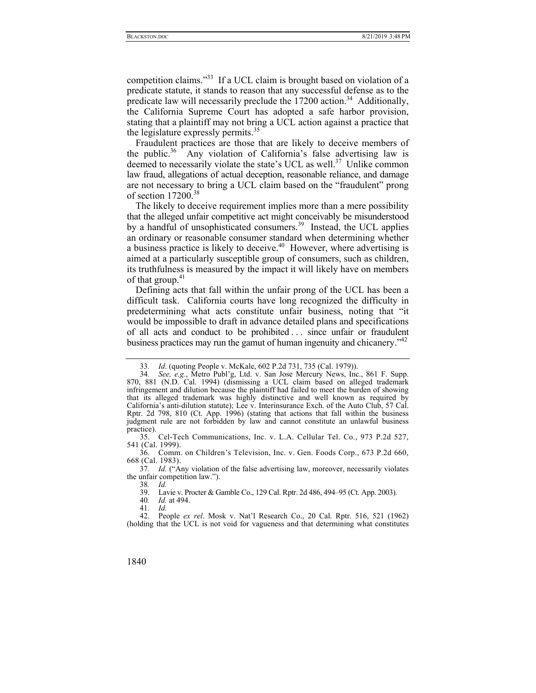competition claims."33 If a UCL claim is brought based on violation of a predicate statute, it stands to reason that any successful defense as to the predicate law will necessarily preclude the  $17200$  action.<sup>34</sup> Additionally, the California Supreme Court has adopted a safe harbor provision, stating that a plaintiff may not bring a UCL action against a practice that the legislature expressly permits.<sup>35</sup>

Fraudulent practices are those that are likely to deceive members of the public.<sup>36</sup> Any violation of California's false advertising law is deemed to necessarily violate the state's UCL as well.<sup>37</sup> Unlike common law fraud, allegations of actual deception, reasonable reliance, and damage are not necessary to bring a UCL claim based on the "fraudulent" prong of section 17200.<sup>38</sup>

The likely to deceive requirement implies more than a mere possibility that the alleged unfair competitive act might conceivably be misunderstood by a handful of unsophisticated consumers.<sup>39</sup> Instead, the UCL applies an ordinary or reasonable consumer standard when determining whether a business practice is likely to deceive.<sup> $40$ </sup> However, where advertising is aimed at a particularly susceptible group of consumers, such as children, its truthfulness is measured by the impact it will likely have on members of that group.<sup>41</sup>

Defining acts that fall within the unfair prong of the UCL has been a difficult task. California courts have long recognized the difficulty in predetermining what acts constitute unfair business, noting that "it would be impossible to draft in advance detailed plans and specifications of all acts and conduct to be prohibited . . . since unfair or fraudulent business practices may run the gamut of human ingenuity and chicanery.<sup>"42</sup>

 35. Cel-Tech Communications, Inc. v. L.A. Cellular Tel. Co., 973 P.2d 527, 541 (Cal. 1999).

 36. Comm. on Children's Television, Inc. v. Gen. Foods Corp., 673 P.2d 660, 668 (Cal. 1983).

37*. Id.* ("Any violation of the false advertising law, moreover, necessarily violates the unfair competition law.").

38*. Id.*

39. Lavie v. Procter & Gamble Co., 129 Cal. Rptr. 2d 486, 494–95 (Ct. App. 2003).

40*. Id.* at 494.

41*. Id.*

 42. People *ex rel*. Mosk v. Nat'l Research Co., 20 Cal. Rptr. 516, 521 (1962) (holding that the UCL is not void for vagueness and that determining what constitutes

<sup>33</sup>*. Id*. (quoting People v. McKale, 602 P.2d 731, 735 (Cal. 1979)).

<sup>34</sup>*. See, e.g.*, Metro Publ'g, Ltd. v. San Jose Mercury News, Inc., 861 F. Supp. 870, 881 (N.D. Cal. 1994) (dismissing a UCL claim based on alleged trademark infringement and dilution because the plaintiff had failed to meet the burden of showing that its alleged trademark was highly distinctive and well known as required by California's anti-dilution statute); Lee v. Interinsurance Exch. of the Auto Club, 57 Cal. Rptr. 2d 798, 810 (Ct. App. 1996) (stating that actions that fall within the business judgment rule are not forbidden by law and cannot constitute an unlawful business practice).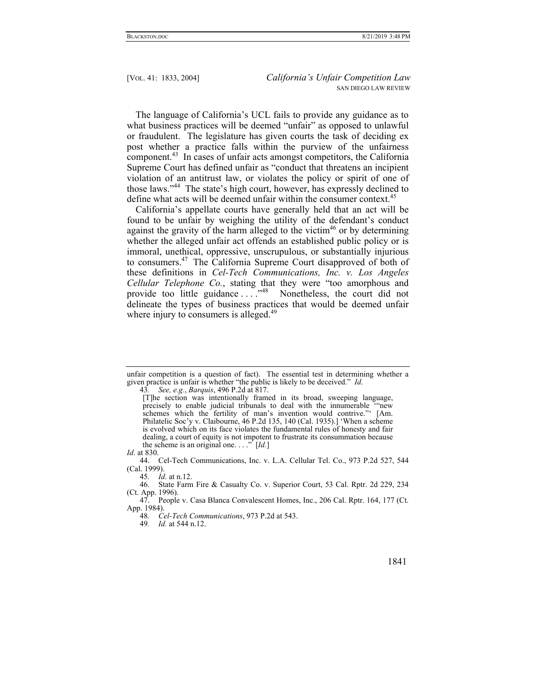The language of California's UCL fails to provide any guidance as to what business practices will be deemed "unfair" as opposed to unlawful or fraudulent. The legislature has given courts the task of deciding ex post whether a practice falls within the purview of the unfairness component.43 In cases of unfair acts amongst competitors, the California Supreme Court has defined unfair as "conduct that threatens an incipient violation of an antitrust law, or violates the policy or spirit of one of those laws."44 The state's high court, however, has expressly declined to define what acts will be deemed unfair within the consumer context.<sup>45</sup>

California's appellate courts have generally held that an act will be found to be unfair by weighing the utility of the defendant's conduct against the gravity of the harm alleged to the victim<sup>46</sup> or by determining whether the alleged unfair act offends an established public policy or is immoral, unethical, oppressive, unscrupulous, or substantially injurious to consumers.47 The California Supreme Court disapproved of both of these definitions in *Cel-Tech Communications, Inc. v. Los Angeles Cellular Telephone Co.*, stating that they were "too amorphous and provide too little guidance ....<sup>,48</sup> Nonetheless, the court did not delineate the types of business practices that would be deemed unfair where injury to consumers is alleged.<sup>49</sup>

43*. See, e.g.*, *Barquis*, 496 P.2d at 817.

[T]he section was intentionally framed in its broad, sweeping language, precisely to enable judicial tribunals to deal with the innumerable '"new schemes which the fertility of man's invention would contrive."' [Am. Philatelic Soc'y v. Claibourne, 46 P.2d 135, 140 (Cal. 1935).] 'When a scheme is evolved which on its face violates the fundamental rules of honesty and fair dealing, a court of equity is not impotent to frustrate its consummation because the scheme is an original one. . . ." [*Id.*]

*Id*. at 830.

 44. Cel-Tech Communications, Inc. v. L.A. Cellular Tel. Co., 973 P.2d 527, 544 (Cal. 1999).

unfair competition is a question of fact). The essential test in determining whether a given practice is unfair is whether "the public is likely to be deceived." *Id*.

<sup>45</sup>*. Id*. at n.12.

 <sup>46.</sup> State Farm Fire & Casualty Co. v. Superior Court, 53 Cal. Rptr. 2d 229, 234 (Ct. App. 1996).

 <sup>47.</sup> People v. Casa Blanca Convalescent Homes, Inc., 206 Cal. Rptr. 164, 177 (Ct. App. 1984).

<sup>48</sup>*. Cel-Tech Communications*, 973 P.2d at 543.

<sup>49</sup>*. Id.* at 544 n.12.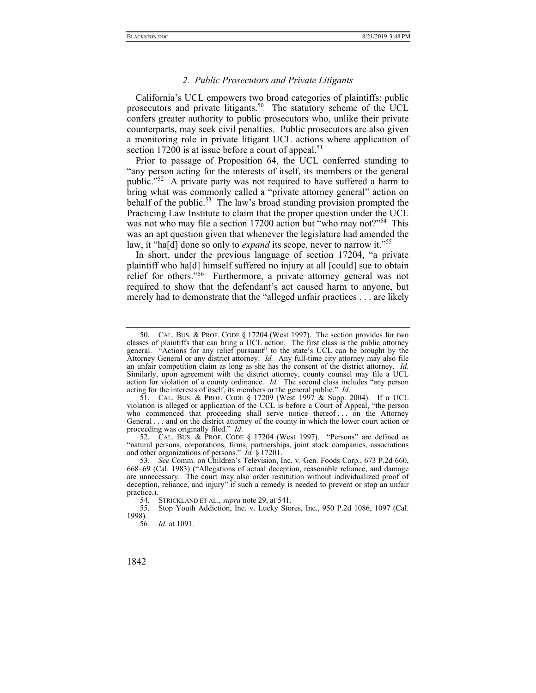#### *2. Public Prosecutors and Private Litigants*

California's UCL empowers two broad categories of plaintiffs: public prosecutors and private litigants.<sup>50</sup> The statutory scheme of the UCL confers greater authority to public prosecutors who, unlike their private counterparts, may seek civil penalties. Public prosecutors are also given a monitoring role in private litigant UCL actions where application of section 17200 is at issue before a court of appeal.<sup>51</sup>

Prior to passage of Proposition 64, the UCL conferred standing to "any person acting for the interests of itself, its members or the general public."<sup>52</sup> A private party was not required to have suffered a harm to bring what was commonly called a "private attorney general" action on behalf of the public.<sup>53</sup> The law's broad standing provision prompted the Practicing Law Institute to claim that the proper question under the UCL was not who may file a section 17200 action but "who may not?"<sup>54</sup> This was an apt question given that whenever the legislature had amended the law, it "ha[d] done so only to *expand* its scope, never to narrow it."55

In short, under the previous language of section 17204, "a private plaintiff who ha[d] himself suffered no injury at all [could] sue to obtain relief for others."<sup>56</sup> Furthermore, a private attorney general was not required to show that the defendant's act caused harm to anyone, but merely had to demonstrate that the "alleged unfair practices . . . are likely

 52. CAL. BUS. & PROF. CODE § 17204 (West 1997). "Persons" are defined as "natural persons, corporations, firms, partnerships, joint stock companies, associations and other organizations of persons." *Id.* § 17201.

54. STRICKLAND ET AL., *supra* note 29, at 541.<br>55. Stop Youth Addiction, Inc. v. Lucky Stop

 <sup>50.</sup> CAL. BUS. & PROF. CODE § 17204 (West 1997). The section provides for two classes of plaintiffs that can bring a UCL action. The first class is the public attorney general. "Actions for any relief pursuant" to the state's UCL can be brought by the Attorney General or any district attorney. *Id.* Any full-time city attorney may also file an unfair competition claim as long as she has the consent of the district attorney. *Id.* Similarly, upon agreement with the district attorney, county counsel may file a UCL action for violation of a county ordinance. *Id.* The second class includes "any person acting for the interests of itself, its members or the general public." *Id*.

 <sup>51.</sup> CAL. BUS. & PROF. CODE § 17209 (West 1997 & Supp. 2004). If a UCL violation is alleged or application of the UCL is before a Court of Appeal, "the person who commenced that proceeding shall serve notice thereof ... on the Attorney General . . . and on the district attorney of the county in which the lower court action or proceeding was originally filed." *Id*.

<sup>53</sup>*. See* Comm. on Children's Television, Inc. v. Gen. Foods Corp., 673 P.2d 660, 668–69 (Cal. 1983) ("Allegations of actual deception, reasonable reliance, and damage are unnecessary. The court may also order restitution without individualized proof of deception, reliance, and injury" if such a remedy is needed to prevent or stop an unfair practice.).<br>54.

 <sup>55.</sup> Stop Youth Addiction, Inc. v. Lucky Stores, Inc., 950 P.2d 1086, 1097 (Cal. 1998).

<sup>56</sup>*. Id*. at 1091.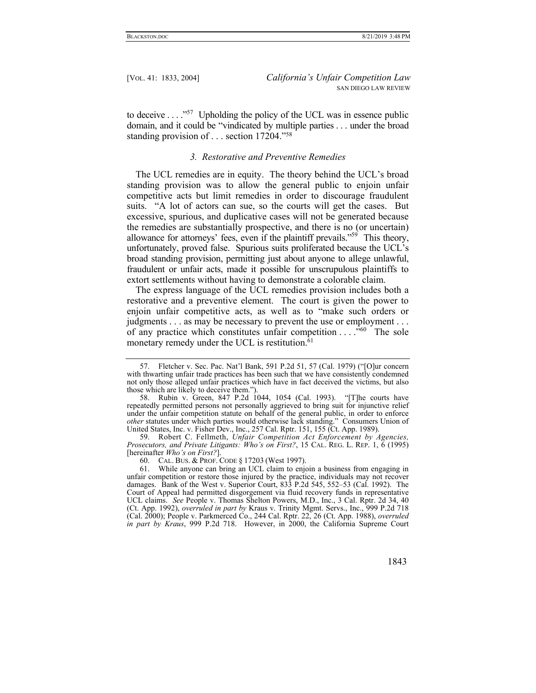to deceive  $\dots$ <sup>57</sup> Upholding the policy of the UCL was in essence public domain, and it could be "vindicated by multiple parties . . . under the broad standing provision of . . . section 17204."58

#### *3. Restorative and Preventive Remedies*

The UCL remedies are in equity. The theory behind the UCL's broad standing provision was to allow the general public to enjoin unfair competitive acts but limit remedies in order to discourage fraudulent suits. "A lot of actors can sue, so the courts will get the cases. But excessive, spurious, and duplicative cases will not be generated because the remedies are substantially prospective, and there is no (or uncertain) allowance for attorneys' fees, even if the plaintiff prevails."59 This theory, unfortunately, proved false. Spurious suits proliferated because the UCL's broad standing provision, permitting just about anyone to allege unlawful, fraudulent or unfair acts, made it possible for unscrupulous plaintiffs to extort settlements without having to demonstrate a colorable claim.

The express language of the UCL remedies provision includes both a restorative and a preventive element. The court is given the power to enjoin unfair competitive acts, as well as to "make such orders or judgments . . . as may be necessary to prevent the use or employment . . . of any practice which constitutes unfair competition  $\dots$  . .<sup>560</sup> The sole monetary remedy under the UCL is restitution.<sup>61</sup>

 <sup>61.</sup> While anyone can bring an UCL claim to enjoin a business from engaging in unfair competition or restore those injured by the practice, individuals may not recover damages. Bank of the West v. Superior Court, 833 P.2d 545, 552–53 (Cal. 1992). The Court of Appeal had permitted disgorgement via fluid recovery funds in representative UCL claims. *See* People v. Thomas Shelton Powers, M.D., Inc., 3 Cal. Rptr. 2d 34, 40 (Ct. App. 1992), *overruled in part by* Kraus v. Trinity Mgmt. Servs., Inc., 999 P.2d 718 (Cal. 2000); People v. Parkmerced Co., 244 Cal. Rptr. 22, 26 (Ct. App. 1988), *overruled in part by Kraus*, 999 P.2d 718.However, in 2000, the California Supreme Court



 <sup>57.</sup> Fletcher v. Sec. Pac. Nat'l Bank, 591 P.2d 51, 57 (Cal. 1979) ("[O]ur concern with thwarting unfair trade practices has been such that we have consistently condemned not only those alleged unfair practices which have in fact deceived the victims, but also those which are likely to deceive them.").

 <sup>58.</sup> Rubin v. Green, 847 P.2d 1044, 1054 (Cal. 1993). "[T]he courts have repeatedly permitted persons not personally aggrieved to bring suit for injunctive relief under the unfair competition statute on behalf of the general public, in order to enforce *other* statutes under which parties would otherwise lack standing." Consumers Union of United States, Inc. v. Fisher Dev., Inc., 257 Cal. Rptr. 151, 155 (Ct. App. 1989).

 <sup>59.</sup> Robert C. Fellmeth, *Unfair Competition Act Enforcement by Agencies, Prosecutors, and Private Litigants: Who's on First?*, 15 CAL. REG. L. REP. 1, 6 (1995) [hereinafter *Who's on First?*].

 <sup>60.</sup> CAL. BUS. & PROF. CODE § 17203 (West 1997).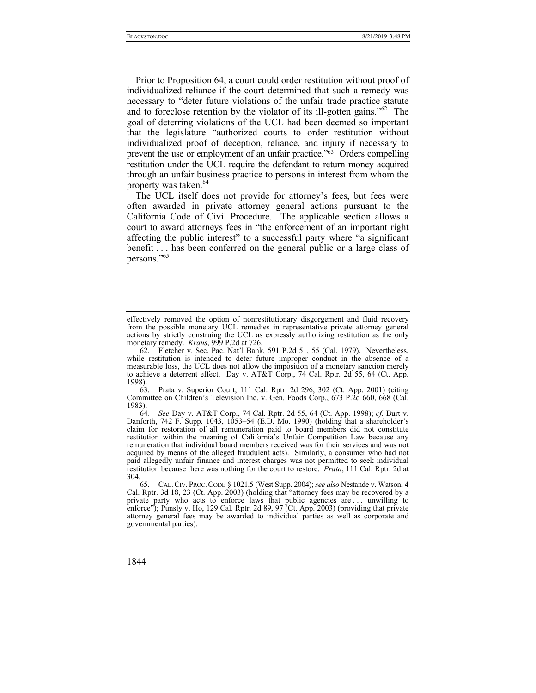Prior to Proposition 64, a court could order restitution without proof of individualized reliance if the court determined that such a remedy was necessary to "deter future violations of the unfair trade practice statute and to foreclose retention by the violator of its ill-gotten gains."<sup>62</sup> The goal of deterring violations of the UCL had been deemed so important that the legislature "authorized courts to order restitution without individualized proof of deception, reliance, and injury if necessary to prevent the use or employment of an unfair practice."63 Orders compelling restitution under the UCL require the defendant to return money acquired through an unfair business practice to persons in interest from whom the property was taken.<sup>64</sup>

The UCL itself does not provide for attorney's fees, but fees were often awarded in private attorney general actions pursuant to the California Code of Civil Procedure. The applicable section allows a court to award attorneys fees in "the enforcement of an important right affecting the public interest" to a successful party where "a significant benefit . . . has been conferred on the general public or a large class of persons."65

 63. Prata v. Superior Court, 111 Cal. Rptr. 2d 296, 302 (Ct. App. 2001) (citing Committee on Children's Television Inc. v. Gen. Foods Corp., 673 P.2d 660, 668 (Cal. 1983).

64*. See* Day v. AT&T Corp., 74 Cal. Rptr. 2d 55, 64 (Ct. App. 1998); *cf*. Burt v. Danforth, 742 F. Supp. 1043, 1053–54 (E.D. Mo. 1990) (holding that a shareholder's claim for restoration of all remuneration paid to board members did not constitute restitution within the meaning of California's Unfair Competition Law because any remuneration that individual board members received was for their services and was not acquired by means of the alleged fraudulent acts). Similarly, a consumer who had not paid allegedly unfair finance and interest charges was not permitted to seek individual restitution because there was nothing for the court to restore. *Prata*, 111 Cal. Rptr. 2d at 304.

effectively removed the option of nonrestitutionary disgorgement and fluid recovery from the possible monetary UCL remedies in representative private attorney general actions by strictly construing the UCL as expressly authorizing restitution as the only monetary remedy. *Kraus*, 999 P.2d at 726.

 <sup>62.</sup> Fletcher v. Sec. Pac. Nat'l Bank, 591 P.2d 51, 55 (Cal. 1979). Nevertheless, while restitution is intended to deter future improper conduct in the absence of a measurable loss, the UCL does not allow the imposition of a monetary sanction merely to achieve a deterrent effect. Day v. AT&T Corp., 74 Cal. Rptr. 2d 55, 64 (Ct. App. 1998).

 <sup>65.</sup> CAL.CIV. PROC.CODE § 1021.5 (West Supp. 2004); *see also* Nestande v. Watson, 4 Cal. Rptr. 3d 18, 23 (Ct. App. 2003) (holding that "attorney fees may be recovered by a private party who acts to enforce laws that public agencies are . . . unwilling to enforce"); Punsly v. Ho, 129 Cal. Rptr. 2d 89, 97 (Ct. App. 2003) (providing that private attorney general fees may be awarded to individual parties as well as corporate and governmental parties).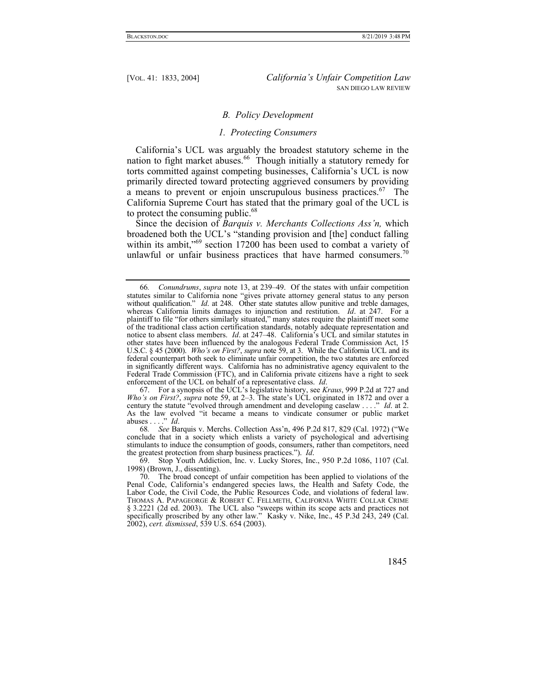## *B. Policy Development*

#### *1. Protecting Consumers*

California's UCL was arguably the broadest statutory scheme in the nation to fight market abuses.<sup>66</sup> Though initially a statutory remedy for torts committed against competing businesses, California's UCL is now primarily directed toward protecting aggrieved consumers by providing a means to prevent or enjoin unscrupulous business practices.<sup>67</sup> The California Supreme Court has stated that the primary goal of the UCL is to protect the consuming public.<sup>68</sup>

Since the decision of *Barquis v. Merchants Collections Ass'n,* which broadened both the UCL's "standing provision and [the] conduct falling within its ambit,<sup>"69</sup> section 17200 has been used to combat a variety of unlawful or unfair business practices that have harmed consumers.<sup>70</sup>

<sup>66</sup>*. Conundrums*, *supra* note 13, at 239–49. Of the states with unfair competition statutes similar to California none "gives private attorney general status to any person without qualification." *Id.* at 248. Other state statutes allow punitive and treble damages, whereas California limits damages to injunction and restitution. *Id*. at 247. For a plaintiff to file "for others similarly situated," many states require the plaintiff meet some of the traditional class action certification standards, notably adequate representation and notice to absent class members. *Id*. at 247–48. California's UCL and similar statutes in other states have been influenced by the analogous Federal Trade Commission Act, 15 U.S.C. § 45 (2000). *Who's on First?*, *supra* note 59, at 3. While the California UCL and its federal counterpart both seek to eliminate unfair competition, the two statutes are enforced in significantly different ways. California has no administrative agency equivalent to the Federal Trade Commission (FTC), and in California private citizens have a right to seek enforcement of the UCL on behalf of a representative class. *Id*.

 <sup>67.</sup> For a synopsis of the UCL's legislative history, see *Kraus*, 999 P.2d at 727 and *Who's on First?*, *supra* note 59, at 2–3. The state's UCL originated in 1872 and over a century the statute "evolved through amendment and developing caselaw . . . ." *Id*. at 2. As the law evolved "it became a means to vindicate consumer or public market abuses . . . ." *Id*.

<sup>68</sup>*. See* Barquis v. Merchs. Collection Ass'n, 496 P.2d 817, 829 (Cal. 1972) ("We conclude that in a society which enlists a variety of psychological and advertising stimulants to induce the consumption of goods, consumers, rather than competitors, need the greatest protection from sharp business practices."). *Id*.

 <sup>69.</sup> Stop Youth Addiction, Inc. v. Lucky Stores, Inc., 950 P.2d 1086, 1107 (Cal. 1998) (Brown, J., dissenting).

 <sup>70.</sup> The broad concept of unfair competition has been applied to violations of the Penal Code, California's endangered species laws, the Health and Safety Code, the Labor Code, the Civil Code, the Public Resources Code, and violations of federal law. THOMAS A. PAPAGEORGE & ROBERT C. FELLMETH, CALIFORNIA WHITE COLLAR CRIME § 3.2221 (2d ed. 2003). The UCL also "sweeps within its scope acts and practices not specifically proscribed by any other law." Kasky v. Nike, Inc., 45 P.3d 243, 249 (Cal. 2002), *cert. dismissed*, 539 U.S. 654 (2003).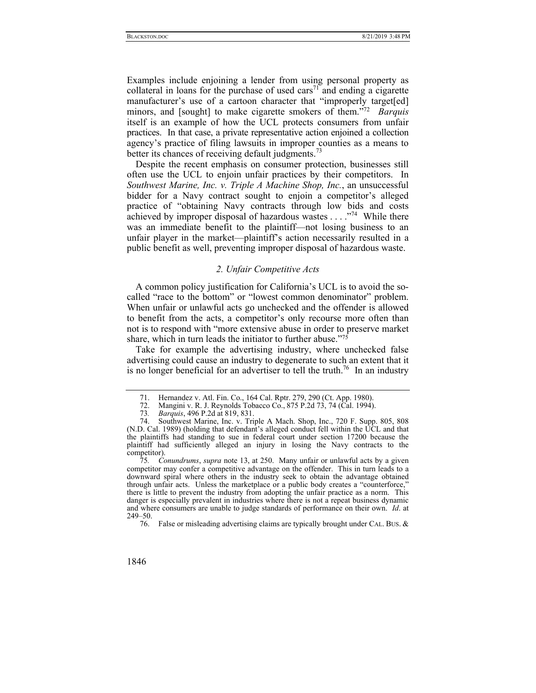Examples include enjoining a lender from using personal property as collateral in loans for the purchase of used cars<sup>71</sup> and ending a cigarette manufacturer's use of a cartoon character that "improperly target[ed] minors, and [sought] to make cigarette smokers of them."72 *Barquis* itself is an example of how the UCL protects consumers from unfair practices. In that case, a private representative action enjoined a collection agency's practice of filing lawsuits in improper counties as a means to better its chances of receiving default judgments.<sup>73</sup>

Despite the recent emphasis on consumer protection, businesses still often use the UCL to enjoin unfair practices by their competitors. In *Southwest Marine, Inc. v. Triple A Machine Shop, Inc.*, an unsuccessful bidder for a Navy contract sought to enjoin a competitor's alleged practice of "obtaining Navy contracts through low bids and costs achieved by improper disposal of hazardous wastes . . . ."74 While there was an immediate benefit to the plaintiff—not losing business to an unfair player in the market—plaintiff's action necessarily resulted in a public benefit as well, preventing improper disposal of hazardous waste.

## *2. Unfair Competitive Acts*

A common policy justification for California's UCL is to avoid the socalled "race to the bottom" or "lowest common denominator" problem. When unfair or unlawful acts go unchecked and the offender is allowed to benefit from the acts, a competitor's only recourse more often than not is to respond with "more extensive abuse in order to preserve market share, which in turn leads the initiator to further abuse."75

Take for example the advertising industry, where unchecked false advertising could cause an industry to degenerate to such an extent that it is no longer beneficial for an advertiser to tell the truth.<sup>76</sup> In an industry

 <sup>71.</sup> Hernandez v. Atl. Fin. Co., 164 Cal. Rptr. 279, 290 (Ct. App. 1980).

 <sup>72.</sup> Mangini v. R. J. Reynolds Tobacco Co., 875 P.2d 73, 74 (Cal. 1994).

<sup>73</sup>*. Barquis*, 496 P.2d at 819, 831.

 <sup>74.</sup> Southwest Marine, Inc. v. Triple A Mach. Shop, Inc., 720 F. Supp. 805, 808 (N.D. Cal. 1989) (holding that defendant's alleged conduct fell within the UCL and that the plaintiffs had standing to sue in federal court under section 17200 because the plaintiff had sufficiently alleged an injury in losing the Navy contracts to the competitor).

<sup>75</sup>*. Conundrums*, *supra* note 13, at 250. Many unfair or unlawful acts by a given competitor may confer a competitive advantage on the offender. This in turn leads to a downward spiral where others in the industry seek to obtain the advantage obtained through unfair acts. Unless the marketplace or a public body creates a "counterforce," there is little to prevent the industry from adopting the unfair practice as a norm. This danger is especially prevalent in industries where there is not a repeat business dynamic and where consumers are unable to judge standards of performance on their own. *Id*. at 249–50.

 <sup>76.</sup> False or misleading advertising claims are typically brought under CAL. BUS. &

<sup>1846</sup>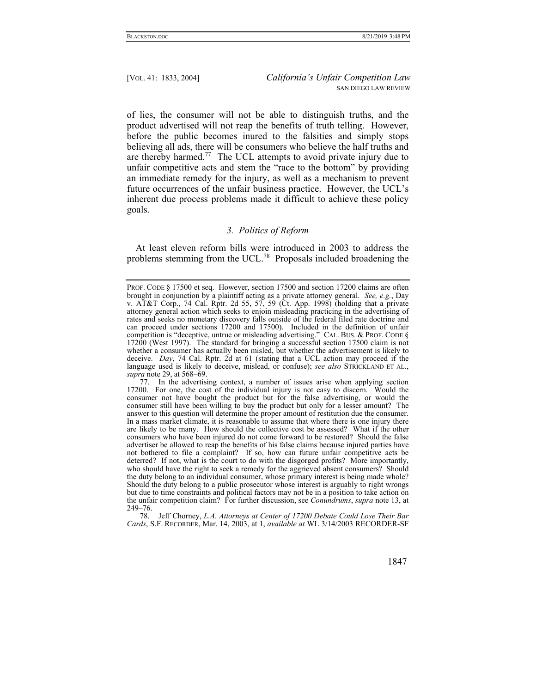of lies, the consumer will not be able to distinguish truths, and the product advertised will not reap the benefits of truth telling. However, before the public becomes inured to the falsities and simply stops believing all ads, there will be consumers who believe the half truths and are thereby harmed.<sup>77</sup> The UCL attempts to avoid private injury due to unfair competitive acts and stem the "race to the bottom" by providing an immediate remedy for the injury, as well as a mechanism to prevent future occurrences of the unfair business practice. However, the UCL's inherent due process problems made it difficult to achieve these policy goals.

## *3. Politics of Reform*

At least eleven reform bills were introduced in 2003 to address the problems stemming from the UCL.<sup>78</sup> Proposals included broadening the

PROF. CODE § 17500 et seq. However, section 17500 and section 17200 claims are often brought in conjunction by a plaintiff acting as a private attorney general. *See, e.g.*, Day v. AT&T Corp., 74 Cal. Rptr. 2d 55, 57, 59 (Ct. App. 1998) (holding that a private attorney general action which seeks to enjoin misleading practicing in the advertising of rates and seeks no monetary discovery falls outside of the federal filed rate doctrine and can proceed under sections 17200 and 17500). Included in the definition of unfair competition is "deceptive, untrue or misleading advertising." CAL. BUS. & PROF. CODE § 17200 (West 1997). The standard for bringing a successful section 17500 claim is not whether a consumer has actually been misled, but whether the advertisement is likely to deceive. *Day*, 74 Cal. Rptr. 2d at 61 (stating that a UCL action may proceed if the language used is likely to deceive, mislead, or confuse); *see also* STRICKLAND ET AL., *supra* note 29, at 568–69.

 <sup>77.</sup> In the advertising context, a number of issues arise when applying section 17200. For one, the cost of the individual injury is not easy to discern. Would the consumer not have bought the product but for the false advertising, or would the consumer still have been willing to buy the product but only for a lesser amount? The answer to this question will determine the proper amount of restitution due the consumer. In a mass market climate, it is reasonable to assume that where there is one injury there are likely to be many. How should the collective cost be assessed? What if the other consumers who have been injured do not come forward to be restored? Should the false advertiser be allowed to reap the benefits of his false claims because injured parties have not bothered to file a complaint? If so, how can future unfair competitive acts be deterred? If not, what is the court to do with the disgorged profits? More importantly, who should have the right to seek a remedy for the aggrieved absent consumers? Should the duty belong to an individual consumer, whose primary interest is being made whole? Should the duty belong to a public prosecutor whose interest is arguably to right wrongs but due to time constraints and political factors may not be in a position to take action on the unfair competition claim? For further discussion, see *Conundrums*, *supra* note 13, at 249–76.

 <sup>78.</sup> Jeff Chorney, *L.A. Attorneys at Center of 17200 Debate Could Lose Their Bar Cards*, S.F. RECORDER, Mar. 14, 2003, at 1, *available at* WL 3/14/2003 RECORDER-SF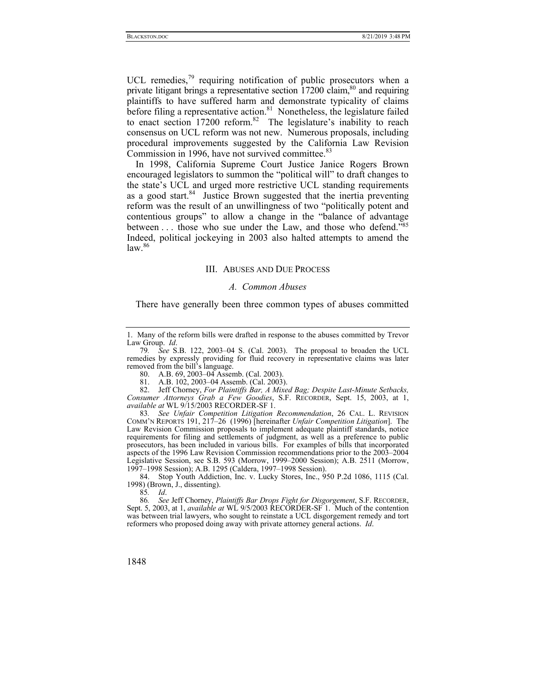UCL remedies, $79$  requiring notification of public prosecutors when a private litigant brings a representative section  $17200$  claim,<sup>80</sup> and requiring plaintiffs to have suffered harm and demonstrate typicality of claims before filing a representative action.<sup>81</sup> Nonetheless, the legislature failed to enact section  $17200$  reform.<sup>82</sup> The legislature's inability to reach consensus on UCL reform was not new. Numerous proposals, including procedural improvements suggested by the California Law Revision Commission in 1996, have not survived committee.<sup>83</sup>

In 1998, California Supreme Court Justice Janice Rogers Brown encouraged legislators to summon the "political will" to draft changes to the state's UCL and urged more restrictive UCL standing requirements as a good start.<sup>84</sup> Justice Brown suggested that the inertia preventing reform was the result of an unwillingness of two "politically potent and contentious groups" to allow a change in the "balance of advantage between . . . those who sue under the Law, and those who defend."85 Indeed, political jockeying in 2003 also halted attempts to amend the  $law.<sup>86</sup>$ 

#### III. ABUSES AND DUE PROCESS

#### *A. Common Abuses*

There have generally been three common types of abuses committed

81. A.B. 102, 2003–04 Assemb. (Cal. 2003).

 82. Jeff Chorney, *For Plaintiffs Bar, A Mixed Bag; Despite Last-Minute Setbacks, Consumer Attorneys Grab a Few Goodies*, S.F. RECORDER, Sept. 15, 2003, at 1, *available at* WL 9/15/2003 RECORDER-SF 1.

83*. See Unfair Competition Litigation Recommendation*, 26 CAL. L. REVISION COMM'N REPORTS 191, 217–26 (1996) [hereinafter *Unfair Competition Litigation*]. The Law Revision Commission proposals to implement adequate plaintiff standards, notice requirements for filing and settlements of judgment, as well as a preference to public prosecutors, has been included in various bills. For examples of bills that incorporated aspects of the 1996 Law Revision Commission recommendations prior to the 2003–2004 Legislative Session, see S.B. 593 (Morrow, 1999–2000 Session); A.B. 2511 (Morrow, 1997–1998 Session); A.B. 1295 (Caldera, 1997–1998 Session).

 84. Stop Youth Addiction, Inc. v. Lucky Stores, Inc., 950 P.2d 1086, 1115 (Cal. 1998) (Brown, J., dissenting).

85*. Id*.

86*. See* Jeff Chorney, *Plaintiffs Bar Drops Fight for Disgorgement*, S.F. RECORDER, Sept. 5, 2003, at 1, *available at* WL 9/5/2003 RECORDER-SF 1. Much of the contention was between trial lawyers, who sought to reinstate a UCL disgorgement remedy and tort reformers who proposed doing away with private attorney general actions. *Id*.

<sup>1.</sup> Many of the reform bills were drafted in response to the abuses committed by Trevor Law Group. *Id*.

<sup>79</sup>*. See* S.B. 122, 2003–04 S. (Cal. 2003). The proposal to broaden the UCL remedies by expressly providing for fluid recovery in representative claims was later removed from the bill's language.

 <sup>80.</sup> A.B. 69, 2003–04 Assemb. (Cal. 2003).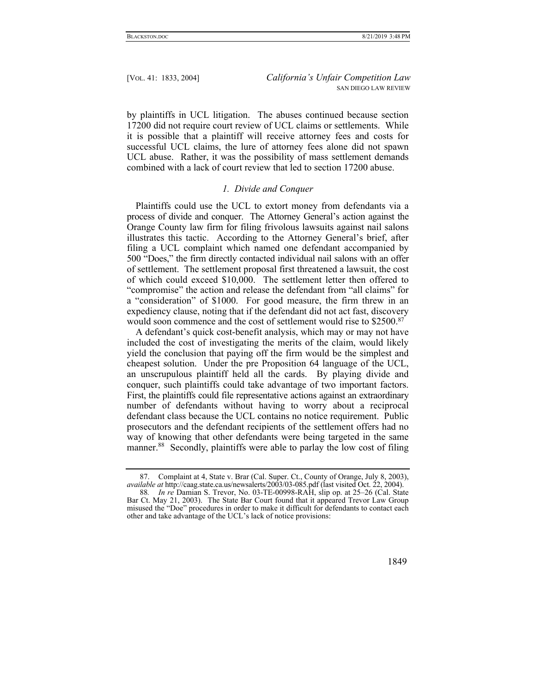by plaintiffs in UCL litigation. The abuses continued because section 17200 did not require court review of UCL claims or settlements. While it is possible that a plaintiff will receive attorney fees and costs for successful UCL claims, the lure of attorney fees alone did not spawn UCL abuse. Rather, it was the possibility of mass settlement demands combined with a lack of court review that led to section 17200 abuse.

## *1. Divide and Conquer*

Plaintiffs could use the UCL to extort money from defendants via a process of divide and conquer. The Attorney General's action against the Orange County law firm for filing frivolous lawsuits against nail salons illustrates this tactic. According to the Attorney General's brief, after filing a UCL complaint which named one defendant accompanied by 500 "Does," the firm directly contacted individual nail salons with an offer of settlement. The settlement proposal first threatened a lawsuit, the cost of which could exceed \$10,000. The settlement letter then offered to "compromise" the action and release the defendant from "all claims" for a "consideration" of \$1000. For good measure, the firm threw in an expediency clause, noting that if the defendant did not act fast, discovery would soon commence and the cost of settlement would rise to \$2500.<sup>87</sup>

A defendant's quick cost-benefit analysis, which may or may not have included the cost of investigating the merits of the claim, would likely yield the conclusion that paying off the firm would be the simplest and cheapest solution. Under the pre Proposition 64 language of the UCL, an unscrupulous plaintiff held all the cards. By playing divide and conquer, such plaintiffs could take advantage of two important factors. First, the plaintiffs could file representative actions against an extraordinary number of defendants without having to worry about a reciprocal defendant class because the UCL contains no notice requirement. Public prosecutors and the defendant recipients of the settlement offers had no way of knowing that other defendants were being targeted in the same manner.<sup>88</sup> Secondly, plaintiffs were able to parlay the low cost of filing



 <sup>87.</sup> Complaint at 4, State v. Brar (Cal. Super. Ct., County of Orange, July 8, 2003), *available at* http://caag.state.ca.us/newsalerts/2003/03-085.pdf (last visited Oct. 22, 2004).

<sup>88</sup>*. In re* Damian S. Trevor, No. 03-TE-00998-RAH, slip op. at 25–26 (Cal. State Bar Ct. May 21, 2003). The State Bar Court found that it appeared Trevor Law Group misused the "Doe" procedures in order to make it difficult for defendants to contact each other and take advantage of the UCL's lack of notice provisions: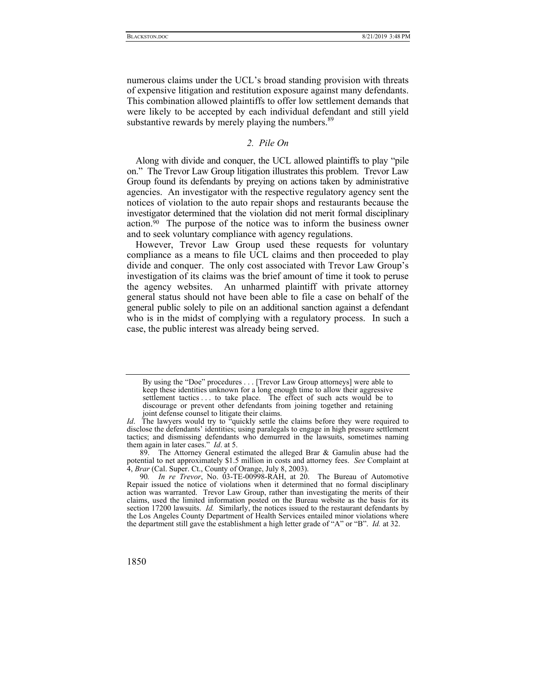numerous claims under the UCL's broad standing provision with threats of expensive litigation and restitution exposure against many defendants. This combination allowed plaintiffs to offer low settlement demands that were likely to be accepted by each individual defendant and still yield substantive rewards by merely playing the numbers.<sup>89</sup>

# *2. Pile On*

Along with divide and conquer, the UCL allowed plaintiffs to play "pile on." The Trevor Law Group litigation illustrates this problem. Trevor Law Group found its defendants by preying on actions taken by administrative agencies. An investigator with the respective regulatory agency sent the notices of violation to the auto repair shops and restaurants because the investigator determined that the violation did not merit formal disciplinary action.90 The purpose of the notice was to inform the business owner and to seek voluntary compliance with agency regulations.

However, Trevor Law Group used these requests for voluntary compliance as a means to file UCL claims and then proceeded to play divide and conquer. The only cost associated with Trevor Law Group's investigation of its claims was the brief amount of time it took to peruse the agency websites. An unharmed plaintiff with private attorney general status should not have been able to file a case on behalf of the general public solely to pile on an additional sanction against a defendant who is in the midst of complying with a regulatory process. In such a case, the public interest was already being served.

<sup>90</sup>*. In re Trevor*, No. 03-TE-00998-RAH, at 20. The Bureau of Automotive Repair issued the notice of violations when it determined that no formal disciplinary action was warranted. Trevor Law Group, rather than investigating the merits of their claims, used the limited information posted on the Bureau website as the basis for its section 17200 lawsuits. *Id.* Similarly, the notices issued to the restaurant defendants by the Los Angeles County Department of Health Services entailed minor violations where the department still gave the establishment a high letter grade of "A" or "B". *Id.* at 32.



By using the "Doe" procedures . . . [Trevor Law Group attorneys] were able to keep these identities unknown for a long enough time to allow their aggressive settlement tactics . . . to take place. The effect of such acts would be to discourage or prevent other defendants from joining together and retaining joint defense counsel to litigate their claims.

*Id*. The lawyers would try to "quickly settle the claims before they were required to disclose the defendants' identities; using paralegals to engage in high pressure settlement tactics; and dismissing defendants who demurred in the lawsuits, sometimes naming them again in later cases." *Id*. at 5.

 <sup>89.</sup> The Attorney General estimated the alleged Brar & Gamulin abuse had the potential to net approximately \$1.5 million in costs and attorney fees. *See* Complaint at 4, *Brar* (Cal. Super. Ct., County of Orange, July 8, 2003).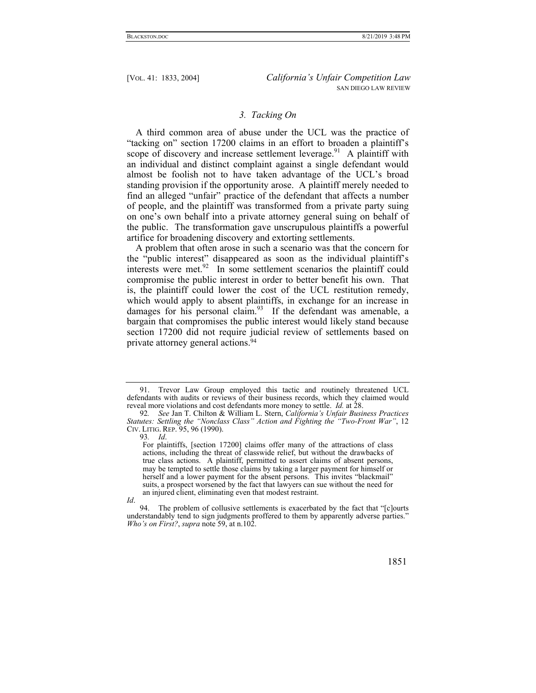## *3. Tacking On*

A third common area of abuse under the UCL was the practice of "tacking on" section 17200 claims in an effort to broaden a plaintiff's scope of discovery and increase settlement leverage.<sup>91</sup> A plaintiff with an individual and distinct complaint against a single defendant would almost be foolish not to have taken advantage of the UCL's broad standing provision if the opportunity arose. A plaintiff merely needed to find an alleged "unfair" practice of the defendant that affects a number of people, and the plaintiff was transformed from a private party suing on one's own behalf into a private attorney general suing on behalf of the public. The transformation gave unscrupulous plaintiffs a powerful artifice for broadening discovery and extorting settlements.

A problem that often arose in such a scenario was that the concern for the "public interest" disappeared as soon as the individual plaintiff's interests were met.<sup>92</sup> In some settlement scenarios the plaintiff could compromise the public interest in order to better benefit his own. That is, the plaintiff could lower the cost of the UCL restitution remedy, which would apply to absent plaintiffs, in exchange for an increase in damages for his personal claim.<sup>93</sup> If the defendant was amenable, a bargain that compromises the public interest would likely stand because section 17200 did not require judicial review of settlements based on private attorney general actions.94

 <sup>94.</sup> The problem of collusive settlements is exacerbated by the fact that "[c]ourts understandably tend to sign judgments proffered to them by apparently adverse parties." *Who's on First?*, *supra* note 59, at n.102.



 <sup>91.</sup> Trevor Law Group employed this tactic and routinely threatened UCL defendants with audits or reviews of their business records, which they claimed would reveal more violations and cost defendants more money to settle. *Id.* at 28.

<sup>92</sup>*. See* Jan T. Chilton & William L. Stern, *California's Unfair Business Practices Statutes: Settling the "Nonclass Class" Action and Fighting the "Two-Front War"*, 12 CIV. LITIG. REP. 95, 96 (1990).

<sup>93</sup>*. Id*.

For plaintiffs, [section 17200] claims offer many of the attractions of class actions, including the threat of classwide relief, but without the drawbacks of true class actions. A plaintiff, permitted to assert claims of absent persons, may be tempted to settle those claims by taking a larger payment for himself or herself and a lower payment for the absent persons. This invites "blackmail" suits, a prospect worsened by the fact that lawyers can sue without the need for an injured client, eliminating even that modest restraint.

*Id*.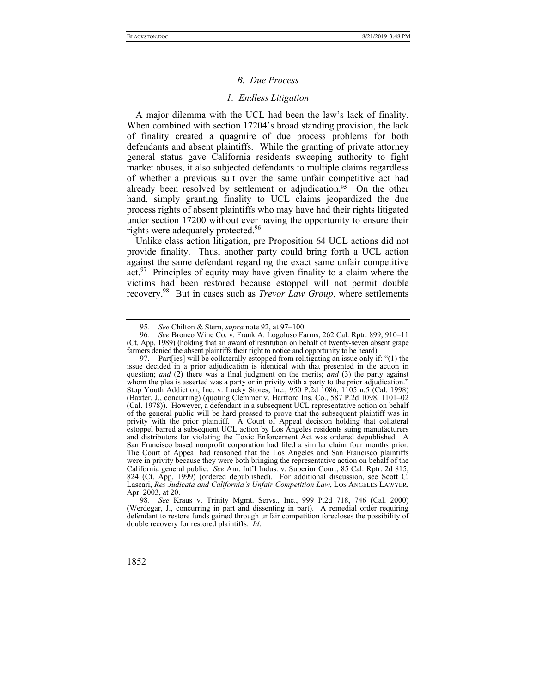#### *B. Due Process*

#### *1. Endless Litigation*

A major dilemma with the UCL had been the law's lack of finality. When combined with section 17204's broad standing provision, the lack of finality created a quagmire of due process problems for both defendants and absent plaintiffs. While the granting of private attorney general status gave California residents sweeping authority to fight market abuses, it also subjected defendants to multiple claims regardless of whether a previous suit over the same unfair competitive act had already been resolved by settlement or adjudication.<sup>95</sup> On the other hand, simply granting finality to UCL claims jeopardized the due process rights of absent plaintiffs who may have had their rights litigated under section 17200 without ever having the opportunity to ensure their rights were adequately protected.<sup>96</sup>

Unlike class action litigation, pre Proposition 64 UCL actions did not provide finality. Thus, another party could bring forth a UCL action against the same defendant regarding the exact same unfair competitive  $act.^{97}$  Principles of equity may have given finality to a claim where the victims had been restored because estoppel will not permit double recovery.98 But in cases such as *Trevor Law Group*, where settlements

<sup>95</sup>*. See* Chilton & Stern, *supra* note 92, at 97–100.

<sup>96</sup>*. See* Bronco Wine Co. v. Frank A. Logoluso Farms, 262 Cal. Rptr. 899, 910–11 (Ct. App. 1989) (holding that an award of restitution on behalf of twenty-seven absent grape farmers denied the absent plaintiffs their right to notice and opportunity to be heard).

 <sup>97.</sup> Part[ies] will be collaterally estopped from relitigating an issue only if: "(1) the issue decided in a prior adjudication is identical with that presented in the action in question; *and* (2) there was a final judgment on the merits; *and* (3) the party against whom the plea is asserted was a party or in privity with a party to the prior adjudication." Stop Youth Addiction, Inc. v. Lucky Stores, Inc., 950 P.2d 1086, 1105 n.5 (Cal. 1998) (Baxter, J., concurring) (quoting Clemmer v. Hartford Ins. Co., 587 P.2d 1098, 1101–02 (Cal. 1978)). However, a defendant in a subsequent UCL representative action on behalf of the general public will be hard pressed to prove that the subsequent plaintiff was in privity with the prior plaintiff. A Court of Appeal decision holding that collateral estoppel barred a subsequent UCL action by Los Angeles residents suing manufacturers and distributors for violating the Toxic Enforcement Act was ordered depublished. A San Francisco based nonprofit corporation had filed a similar claim four months prior. The Court of Appeal had reasoned that the Los Angeles and San Francisco plaintiffs were in privity because they were both bringing the representative action on behalf of the California general public. *See* Am. Int'l Indus. v. Superior Court, 85 Cal. Rptr. 2d 815, 824 (Ct. App. 1999) (ordered depublished). For additional discussion, see Scott C. Lascari, *Res Judicata and California's Unfair Competition Law*, LOS ANGELES LAWYER, Apr. 2003, at 20.

<sup>98</sup>*. See* Kraus v. Trinity Mgmt. Servs., Inc., 999 P.2d 718, 746 (Cal. 2000) (Werdegar, J., concurring in part and dissenting in part). A remedial order requiring defendant to restore funds gained through unfair competition forecloses the possibility of double recovery for restored plaintiffs. *Id*.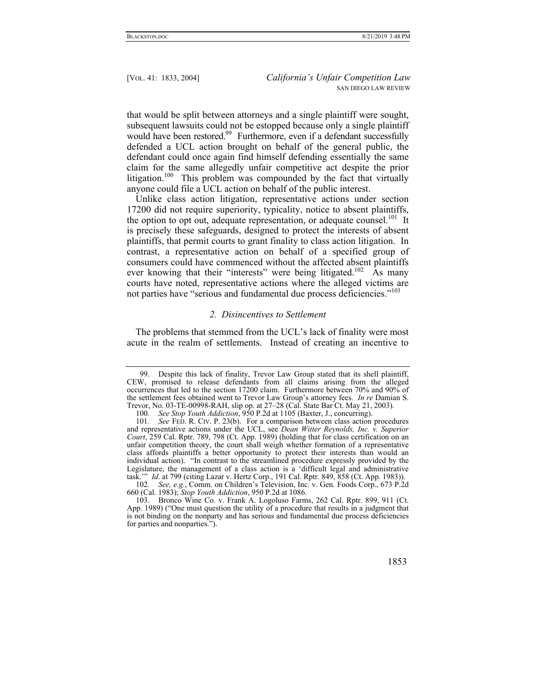that would be split between attorneys and a single plaintiff were sought, subsequent lawsuits could not be estopped because only a single plaintiff would have been restored.<sup>99</sup> Furthermore, even if a defendant successfully defended a UCL action brought on behalf of the general public, the defendant could once again find himself defending essentially the same claim for the same allegedly unfair competitive act despite the prior litigation.<sup>100</sup> This problem was compounded by the fact that virtually anyone could file a UCL action on behalf of the public interest.

Unlike class action litigation, representative actions under section 17200 did not require superiority, typicality, notice to absent plaintiffs, the option to opt out, adequate representation, or adequate counsel.<sup>101</sup> It is precisely these safeguards, designed to protect the interests of absent plaintiffs, that permit courts to grant finality to class action litigation. In contrast, a representative action on behalf of a specified group of consumers could have commenced without the affected absent plaintiffs ever knowing that their "interests" were being litigated.<sup>102</sup> As many courts have noted, representative actions where the alleged victims are not parties have "serious and fundamental due process deficiencies."<sup>103</sup>

#### *2. Disincentives to Settlement*

The problems that stemmed from the UCL's lack of finality were most acute in the realm of settlements. Instead of creating an incentive to

 <sup>103.</sup> Bronco Wine Co. v. Frank A. Logoluso Farms, 262 Cal. Rptr. 899, 911 (Ct. App. 1989) ("One must question the utility of a procedure that results in a judgment that is not binding on the nonparty and has serious and fundamental due process deficiencies for parties and nonparties.").



 <sup>99.</sup> Despite this lack of finality, Trevor Law Group stated that its shell plaintiff, CEW, promised to release defendants from all claims arising from the alleged occurrences that led to the section 17200 claim. Furthermore between 70% and 90% of the settlement fees obtained went to Trevor Law Group's attorney fees. *In re* Damian S. Trevor, No. 03-TE-00998-RAH, slip op. at 27–28 (Cal. State Bar Ct. May 21, 2003).

<sup>100</sup>*. See Stop Youth Addiction*, 950 P.2d at 1105 (Baxter, J., concurring).

<sup>101</sup>*. See* FED. R. CIV. P. 23(b). For a comparison between class action procedures and representative actions under the UCL, see *Dean Witter Reynolds, Inc. v. Superior Court*, 259 Cal. Rptr. 789, 798 (Ct. App. 1989) (holding that for class certification on an unfair competition theory, the court shall weigh whether formation of a representative class affords plaintiffs a better opportunity to protect their interests than would an individual action). "In contrast to the streamlined procedure expressly provided by the Legislature, the management of a class action is a 'difficult legal and administrative task.'" *Id*. at 799 (citing Lazar v. Hertz Corp., 191 Cal. Rptr. 849, 858 (Ct. App. 1983)).

<sup>102</sup>*. See, e.g.*, Comm. on Children's Television, Inc. v. Gen. Foods Corp., 673 P.2d 660 (Cal. 1983); *Stop Youth Addiction*, 950 P.2d at 1086.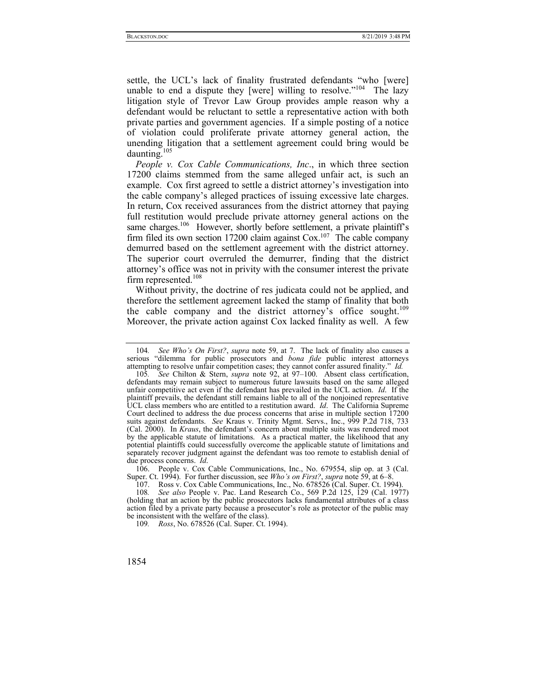settle, the UCL's lack of finality frustrated defendants "who [were] unable to end a dispute they [were] willing to resolve."<sup>104</sup> The lazy litigation style of Trevor Law Group provides ample reason why a defendant would be reluctant to settle a representative action with both private parties and government agencies. If a simple posting of a notice of violation could proliferate private attorney general action, the unending litigation that a settlement agreement could bring would be daunting.105

*People v. Cox Cable Communications, Inc*., in which three section 17200 claims stemmed from the same alleged unfair act, is such an example. Cox first agreed to settle a district attorney's investigation into the cable company's alleged practices of issuing excessive late charges. In return, Cox received assurances from the district attorney that paying full restitution would preclude private attorney general actions on the same charges.<sup>106</sup> However, shortly before settlement, a private plaintiff's firm filed its own section 17200 claim against  $\cos$ .<sup>107</sup> The cable company demurred based on the settlement agreement with the district attorney. The superior court overruled the demurrer, finding that the district attorney's office was not in privity with the consumer interest the private firm represented.<sup>108</sup>

Without privity, the doctrine of res judicata could not be applied, and therefore the settlement agreement lacked the stamp of finality that both the cable company and the district attorney's office sought.<sup>109</sup> Moreover, the private action against Cox lacked finality as well. A few

 106. People v. Cox Cable Communications, Inc., No. 679554, slip op. at 3 (Cal. Super. Ct. 1994). For further discussion, see *Who's on First?*, *supra* note 59, at 6–8.

<sup>104</sup>*. See Who's On First?*, *supra* note 59, at 7. The lack of finality also causes a serious "dilemma for public prosecutors and *bona fide* public interest attorneys attempting to resolve unfair competition cases; they cannot confer assured finality." *Id.*

<sup>105</sup>*. See* Chilton & Stern, *supra* note 92, at 97–100. Absent class certification, defendants may remain subject to numerous future lawsuits based on the same alleged unfair competitive act even if the defendant has prevailed in the UCL action. *Id*. If the plaintiff prevails, the defendant still remains liable to all of the nonjoined representative UCL class members who are entitled to a restitution award. *Id*. The California Supreme Court declined to address the due process concerns that arise in multiple section 17200 suits against defendants. *See* Kraus v. Trinity Mgmt. Servs., Inc., 999 P.2d 718, 733 (Cal. 2000). In *Kraus*, the defendant's concern about multiple suits was rendered moot by the applicable statute of limitations. As a practical matter, the likelihood that any potential plaintiffs could successfully overcome the applicable statute of limitations and separately recover judgment against the defendant was too remote to establish denial of due process concerns. *Id*.

 <sup>107.</sup> Ross v. Cox Cable Communications, Inc., No. 678526 (Cal. Super. Ct. 1994).

<sup>108</sup>*. See also* People v. Pac. Land Research Co., 569 P.2d 125, 129 (Cal. 1977) (holding that an action by the public prosecutors lacks fundamental attributes of a class action filed by a private party because a prosecutor's role as protector of the public may be inconsistent with the welfare of the class).

<sup>109</sup>*. Ross*, No. 678526 (Cal. Super. Ct. 1994).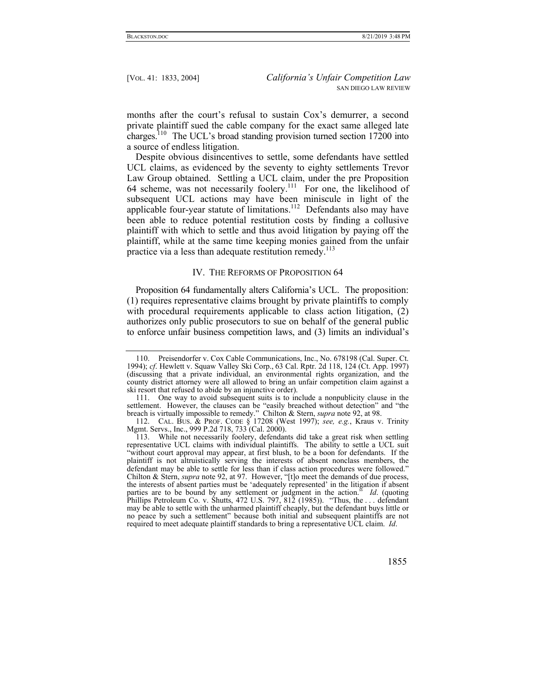months after the court's refusal to sustain Cox's demurrer, a second private plaintiff sued the cable company for the exact same alleged late charges.110 The UCL's broad standing provision turned section 17200 into a source of endless litigation.

Despite obvious disincentives to settle, some defendants have settled UCL claims, as evidenced by the seventy to eighty settlements Trevor Law Group obtained. Settling a UCL claim, under the pre Proposition 64 scheme, was not necessarily foolery.<sup>111</sup> For one, the likelihood of subsequent UCL actions may have been miniscule in light of the applicable four-year statute of limitations.<sup>112</sup> Defendants also may have been able to reduce potential restitution costs by finding a collusive plaintiff with which to settle and thus avoid litigation by paying off the plaintiff, while at the same time keeping monies gained from the unfair practice via a less than adequate restitution remedy.<sup>113</sup>

#### IV. THE REFORMS OF PROPOSITION 64

Proposition 64 fundamentally alters California's UCL. The proposition: (1) requires representative claims brought by private plaintiffs to comply with procedural requirements applicable to class action litigation, (2) authorizes only public prosecutors to sue on behalf of the general public to enforce unfair business competition laws, and (3) limits an individual's

 <sup>113.</sup> While not necessarily foolery, defendants did take a great risk when settling representative UCL claims with individual plaintiffs. The ability to settle a UCL suit "without court approval may appear, at first blush, to be a boon for defendants. If the plaintiff is not altruistically serving the interests of absent nonclass members, the defendant may be able to settle for less than if class action procedures were followed." Chilton & Stern, *supra* note 92, at 97. However, "[t]o meet the demands of due process, the interests of absent parties must be 'adequately represented' in the litigation if absent parties are to be bound by any settlement or judgment in the action." *Id*. (quoting Phillips Petroleum Co. v. Shutts, 472 U.S. 797, 812 (1985)). "Thus, the ... defendant may be able to settle with the unharmed plaintiff cheaply, but the defendant buys little or no peace by such a settlement" because both initial and subsequent plaintiffs are not required to meet adequate plaintiff standards to bring a representative UCL claim. *Id*.



 <sup>110.</sup> Preisendorfer v. Cox Cable Communications, Inc., No. 678198 (Cal. Super. Ct. 1994); *cf*. Hewlett v. Squaw Valley Ski Corp., 63 Cal. Rptr. 2d 118, 124 (Ct. App. 1997) (discussing that a private individual, an environmental rights organization, and the county district attorney were all allowed to bring an unfair competition claim against a ski resort that refused to abide by an injunctive order).

 <sup>111.</sup> One way to avoid subsequent suits is to include a nonpublicity clause in the settlement. However, the clauses can be "easily breached without detection" and "the breach is virtually impossible to remedy." Chilton & Stern, *supra* note 92, at 98.

 <sup>112.</sup> CAL. BUS. & PROF. CODE § 17208 (West 1997); *see, e.g.*, Kraus v. Trinity Mgmt. Servs., Inc., 999 P.2d 718, 733 (Cal. 2000).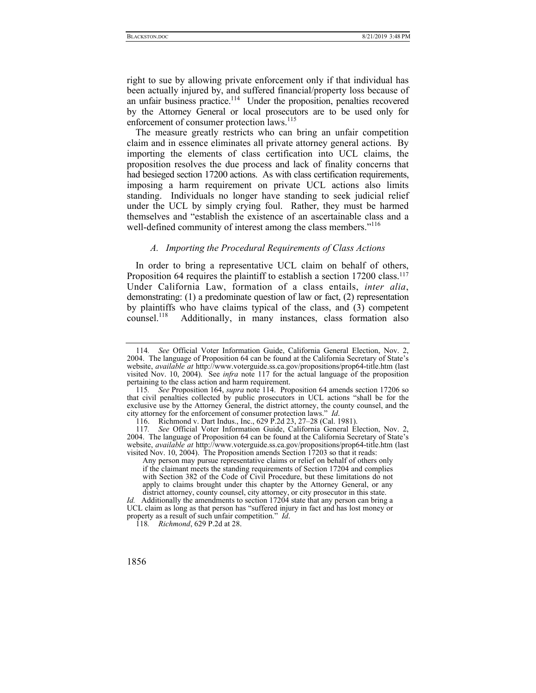right to sue by allowing private enforcement only if that individual has been actually injured by, and suffered financial/property loss because of an unfair business practice.<sup>114</sup> Under the proposition, penalties recovered by the Attorney General or local prosecutors are to be used only for enforcement of consumer protection laws.<sup>115</sup>

The measure greatly restricts who can bring an unfair competition claim and in essence eliminates all private attorney general actions. By importing the elements of class certification into UCL claims, the proposition resolves the due process and lack of finality concerns that had besieged section 17200 actions. As with class certification requirements, imposing a harm requirement on private UCL actions also limits standing. Individuals no longer have standing to seek judicial relief under the UCL by simply crying foul. Rather, they must be harmed themselves and "establish the existence of an ascertainable class and a well-defined community of interest among the class members."<sup>116</sup>

## *A. Importing the Procedural Requirements of Class Actions*

In order to bring a representative UCL claim on behalf of others, Proposition 64 requires the plaintiff to establish a section 17200 class.<sup>117</sup> Under California Law, formation of a class entails, *inter alia*, demonstrating: (1) a predominate question of law or fact, (2) representation by plaintiffs who have claims typical of the class, and (3) competent counsel.<sup>118</sup> Additionally, in many instances, class formation also Additionally, in many instances, class formation also

<sup>114</sup>*. See* Official Voter Information Guide, California General Election, Nov. 2, 2004. The language of Proposition 64 can be found at the California Secretary of State's website, *available at* http://www.voterguide.ss.ca.gov/propositions/prop64-title.htm (last visited Nov. 10, 2004). See *infra* note 117 for the actual language of the proposition pertaining to the class action and harm requirement.

<sup>115</sup>*. See* Proposition 164, *supra* note 114. Proposition 64 amends section 17206 so that civil penalties collected by public prosecutors in UCL actions "shall be for the exclusive use by the Attorney General, the district attorney, the county counsel, and the city attorney for the enforcement of consumer protection laws." *Id*.

 <sup>116.</sup> Richmond v. Dart Indus., Inc., 629 P.2d 23, 27–28 (Cal. 1981).

<sup>117</sup>*. See* Official Voter Information Guide, California General Election, Nov. 2, 2004. The language of Proposition 64 can be found at the California Secretary of State's website, *available at* http://www.voterguide.ss.ca.gov/propositions/prop64-title.htm (last visited Nov. 10, 2004). The Proposition amends Section 17203 so that it reads:

Any person may pursue representative claims or relief on behalf of others only if the claimant meets the standing requirements of Section 17204 and complies with Section 382 of the Code of Civil Procedure, but these limitations do not apply to claims brought under this chapter by the Attorney General, or any district attorney, county counsel, city attorney, or city prosecutor in this state.

*Id.* Additionally the amendments to section 17204 state that any person can bring a UCL claim as long as that person has "suffered injury in fact and has lost money or property as a result of such unfair competition." *Id*.

<sup>118</sup>*. Richmond*, 629 P.2d at 28.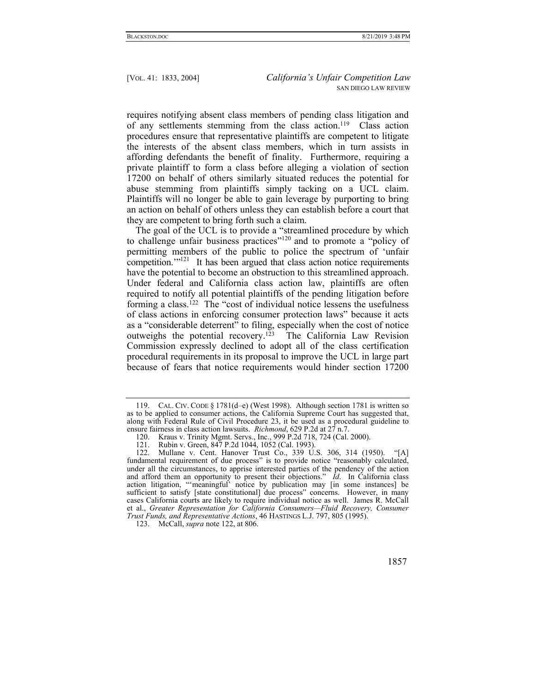requires notifying absent class members of pending class litigation and of any settlements stemming from the class action.<sup>119</sup> Class action procedures ensure that representative plaintiffs are competent to litigate the interests of the absent class members, which in turn assists in affording defendants the benefit of finality. Furthermore, requiring a private plaintiff to form a class before alleging a violation of section 17200 on behalf of others similarly situated reduces the potential for abuse stemming from plaintiffs simply tacking on a UCL claim. Plaintiffs will no longer be able to gain leverage by purporting to bring an action on behalf of others unless they can establish before a court that they are competent to bring forth such a claim.

The goal of the UCL is to provide a "streamlined procedure by which to challenge unfair business practices"120 and to promote a "policy of permitting members of the public to police the spectrum of 'unfair competition."<sup>121</sup> It has been argued that class action notice requirements have the potential to become an obstruction to this streamlined approach. Under federal and California class action law, plaintiffs are often required to notify all potential plaintiffs of the pending litigation before forming a class.122 The "cost of individual notice lessens the usefulness of class actions in enforcing consumer protection laws" because it acts as a "considerable deterrent" to filing, especially when the cost of notice outweighs the potential recovery.123 The California Law Revision Commission expressly declined to adopt all of the class certification procedural requirements in its proposal to improve the UCL in large part because of fears that notice requirements would hinder section 17200

 <sup>119.</sup> CAL. CIV. CODE § 1781(d–e) (West 1998). Although section 1781 is written so as to be applied to consumer actions, the California Supreme Court has suggested that, along with Federal Rule of Civil Procedure 23, it be used as a procedural guideline to ensure fairness in class action lawsuits. *Richmond*, 629 P.2d at 27 n.7.

<sup>120.</sup> Kraus v. Trinity Mgmt. Servs., Inc., 999 P.2d 718, 724 (Cal. 2000).<br>121. Rubin v. Green, 847 P.2d 1044, 1052 (Cal. 1993).

Rubin v. Green, 847 P.2d 1044, 1052 (Cal. 1993).

 <sup>122.</sup> Mullane v. Cent. Hanover Trust Co., 339 U.S. 306, 314 (1950). "[A] fundamental requirement of due process" is to provide notice "reasonably calculated, under all the circumstances, to apprise interested parties of the pendency of the action and afford them an opportunity to present their objections." *Id*. In California class action litigation, "'meaningful' notice by publication may [in some instances] be sufficient to satisfy [state constitutional] due process" concerns. However, in many cases California courts are likely to require individual notice as well. James R. McCall et al., *Greater Representation for California Consumers—Fluid Recovery, Consumer Trust Funds, and Representative Actions*, 46 HASTINGS L.J. 797, 805 (1995).

 <sup>123.</sup> McCall, *supra* note 122, at 806.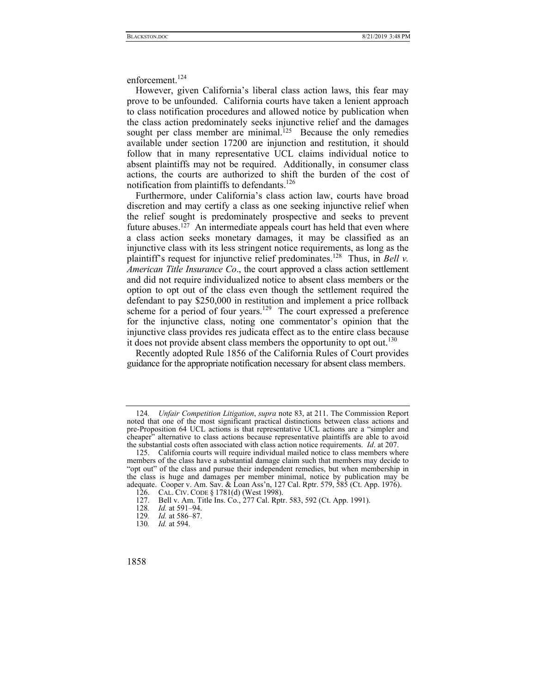enforcement.<sup>124</sup>

However, given California's liberal class action laws, this fear may prove to be unfounded. California courts have taken a lenient approach to class notification procedures and allowed notice by publication when the class action predominately seeks injunctive relief and the damages sought per class member are minimal.<sup>125</sup> Because the only remedies available under section 17200 are injunction and restitution, it should follow that in many representative UCL claims individual notice to absent plaintiffs may not be required. Additionally, in consumer class actions, the courts are authorized to shift the burden of the cost of notification from plaintiffs to defendants.<sup>126</sup>

Furthermore, under California's class action law, courts have broad discretion and may certify a class as one seeking injunctive relief when the relief sought is predominately prospective and seeks to prevent future abuses.<sup>127</sup> An intermediate appeals court has held that even where a class action seeks monetary damages, it may be classified as an injunctive class with its less stringent notice requirements, as long as the plaintiff's request for injunctive relief predominates.128 Thus, in *Bell v. American Title Insurance Co*., the court approved a class action settlement and did not require individualized notice to absent class members or the option to opt out of the class even though the settlement required the defendant to pay \$250,000 in restitution and implement a price rollback scheme for a period of four years.<sup>129</sup> The court expressed a preference for the injunctive class, noting one commentator's opinion that the injunctive class provides res judicata effect as to the entire class because it does not provide absent class members the opportunity to opt out.<sup>130</sup>

Recently adopted Rule 1856 of the California Rules of Court provides guidance for the appropriate notification necessary for absent class members.

<sup>124</sup>*. Unfair Competition Litigation*, *supra* note 83, at 211. The Commission Report noted that one of the most significant practical distinctions between class actions and pre-Proposition 64 UCL actions is that representative UCL actions are a "simpler and cheaper" alternative to class actions because representative plaintiffs are able to avoid the substantial costs often associated with class action notice requirements. *Id*. at 207.

 <sup>125.</sup> California courts will require individual mailed notice to class members where members of the class have a substantial damage claim such that members may decide to "opt out" of the class and pursue their independent remedies, but when membership in the class is huge and damages per member minimal, notice by publication may be adequate. Cooper v. Am. Sav. & Loan Ass'n, 127 Cal. Rptr. 579, 585 (Ct. App. 1976).

 <sup>126.</sup> CAL. CIV. CODE § 1781(d) (West 1998).

 <sup>127.</sup> Bell v. Am. Title Ins. Co., 277 Cal. Rptr. 583, 592 (Ct. App. 1991).

<sup>128</sup>*. Id.* at 591–94.

<sup>129</sup>*. Id.* at 586–87.

<sup>130</sup>*. Id.* at 594.

<sup>1858</sup>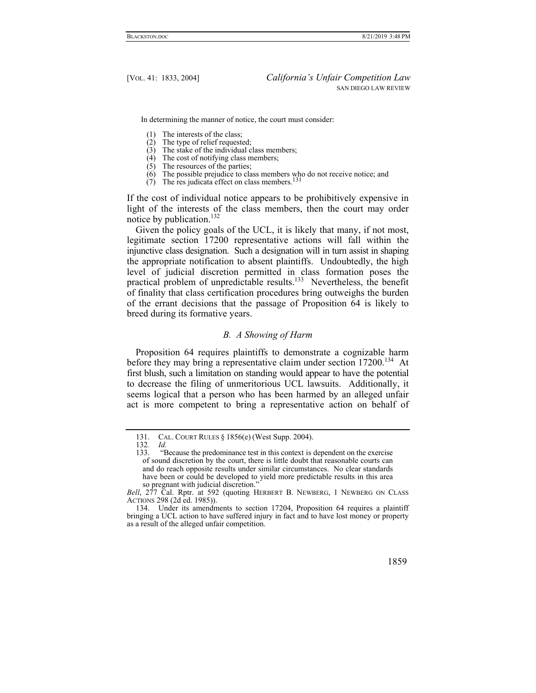In determining the manner of notice, the court must consider:

- (1) The interests of the class;<br>(2) The type of relief requested
- The type of relief requested:
- $(3)$  The stake of the individual class members;
- $(4)$  The cost of notifying class members:
- $(5)$  The resources of the parties;
- (6) The possible prejudice to class members who do not receive notice; and (7) The res judicata effect on class members.<sup>131</sup>
- 

If the cost of individual notice appears to be prohibitively expensive in light of the interests of the class members, then the court may order notice by publication.<sup>132</sup>

Given the policy goals of the UCL, it is likely that many, if not most, legitimate section 17200 representative actions will fall within the injunctive class designation. Such a designation will in turn assist in shaping the appropriate notification to absent plaintiffs. Undoubtedly, the high level of judicial discretion permitted in class formation poses the practical problem of unpredictable results.133 Nevertheless, the benefit of finality that class certification procedures bring outweighs the burden of the errant decisions that the passage of Proposition 64 is likely to breed during its formative years.

## *B. A Showing of Harm*

Proposition 64 requires plaintiffs to demonstrate a cognizable harm before they may bring a representative claim under section 17200.<sup>134</sup> At first blush, such a limitation on standing would appear to have the potential to decrease the filing of unmeritorious UCL lawsuits. Additionally, it seems logical that a person who has been harmed by an alleged unfair act is more competent to bring a representative action on behalf of

 <sup>134.</sup> Under its amendments to section 17204, Proposition 64 requires a plaintiff bringing a UCL action to have suffered injury in fact and to have lost money or property as a result of the alleged unfair competition.



 <sup>131.</sup> CAL. COURT RULES § 1856(e) (West Supp. 2004).

<sup>132</sup>*. Id.*

 <sup>133. &</sup>quot;Because the predominance test in this context is dependent on the exercise of sound discretion by the court, there is little doubt that reasonable courts can and do reach opposite results under similar circumstances. No clear standards have been or could be developed to yield more predictable results in this area so pregnant with judicial discretion."

*Bell*, 277 Cal. Rptr. at 592 (quoting HERBERT B. NEWBERG, 1 NEWBERG ON CLASS ACTIONS 298 (2d ed. 1985)).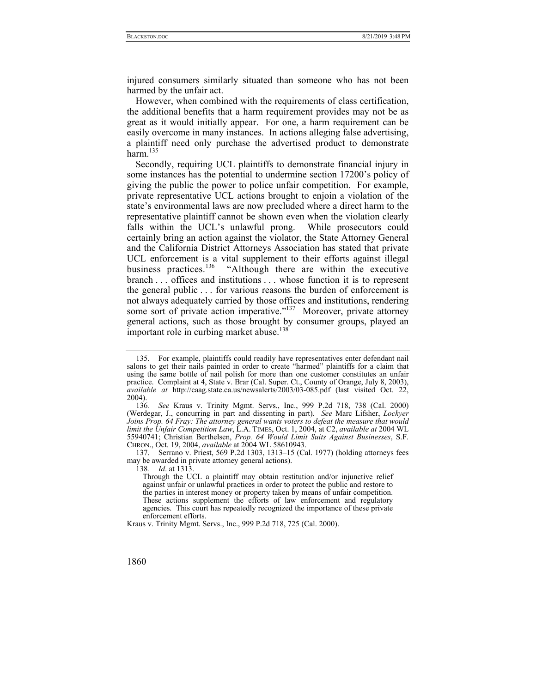injured consumers similarly situated than someone who has not been harmed by the unfair act.

However, when combined with the requirements of class certification, the additional benefits that a harm requirement provides may not be as great as it would initially appear. For one, a harm requirement can be easily overcome in many instances. In actions alleging false advertising, a plaintiff need only purchase the advertised product to demonstrate harm. $135$ 

Secondly, requiring UCL plaintiffs to demonstrate financial injury in some instances has the potential to undermine section 17200's policy of giving the public the power to police unfair competition. For example, private representative UCL actions brought to enjoin a violation of the state's environmental laws are now precluded where a direct harm to the representative plaintiff cannot be shown even when the violation clearly falls within the UCL's unlawful prong. While prosecutors could certainly bring an action against the violator, the State Attorney General and the California District Attorneys Association has stated that private UCL enforcement is a vital supplement to their efforts against illegal business practices.<sup>136</sup> "Although there are within the executive branch . . . offices and institutions . . . whose function it is to represent the general public . . . for various reasons the burden of enforcement is not always adequately carried by those offices and institutions, rendering some sort of private action imperative."<sup>137</sup> Moreover, private attorney general actions, such as those brought by consumer groups, played an important role in curbing market abuse.<sup>138</sup>

138*. Id*. at 1313.

 <sup>135.</sup> For example, plaintiffs could readily have representatives enter defendant nail salons to get their nails painted in order to create "harmed" plaintiffs for a claim that using the same bottle of nail polish for more than one customer constitutes an unfair practice. Complaint at 4, State v. Brar (Cal. Super. Ct., County of Orange, July 8, 2003), *available at* http://caag.state.ca.us/newsalerts/2003/03-085.pdf (last visited Oct. 22,  $2004$ ).<br>136.

<sup>136</sup>*. See* Kraus v. Trinity Mgmt. Servs., Inc., 999 P.2d 718, 738 (Cal. 2000) (Werdegar, J., concurring in part and dissenting in part). *See* Marc Lifsher, *Lockyer Joins Prop. 64 Fray: The attorney general wants voters to defeat the measure that would limit the Unfair Competition Law*, L.A. TIMES, Oct. 1, 2004, at C2, *available at* 2004 WL 55940741; Christian Berthelsen, *Prop. 64 Would Limit Suits Against Businesses*, S.F. CHRON., Oct. 19, 2004, *available* at 2004 WL 58610943.

 <sup>137.</sup> Serrano v. Priest, 569 P.2d 1303, 1313–15 (Cal. 1977) (holding attorneys fees may be awarded in private attorney general actions).

Through the UCL a plaintiff may obtain restitution and/or injunctive relief against unfair or unlawful practices in order to protect the public and restore to the parties in interest money or property taken by means of unfair competition. These actions supplement the efforts of law enforcement and regulatory agencies. This court has repeatedly recognized the importance of these private enforcement efforts.

Kraus v. Trinity Mgmt. Servs., Inc., 999 P.2d 718, 725 (Cal. 2000).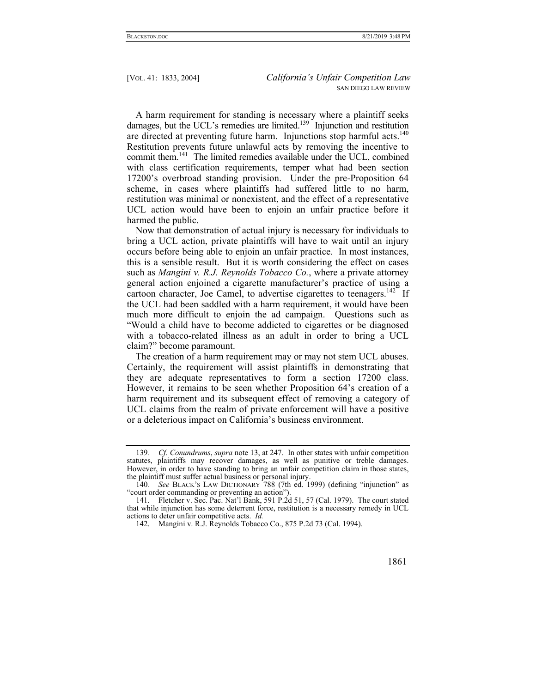A harm requirement for standing is necessary where a plaintiff seeks damages, but the UCL's remedies are limited.<sup>139</sup> Injunction and restitution are directed at preventing future harm. Injunctions stop harmful acts.<sup>140</sup> Restitution prevents future unlawful acts by removing the incentive to commit them.<sup>141</sup> The limited remedies available under the UCL, combined with class certification requirements, temper what had been section 17200's overbroad standing provision. Under the pre-Proposition 64 scheme, in cases where plaintiffs had suffered little to no harm, restitution was minimal or nonexistent, and the effect of a representative UCL action would have been to enjoin an unfair practice before it harmed the public.

Now that demonstration of actual injury is necessary for individuals to bring a UCL action, private plaintiffs will have to wait until an injury occurs before being able to enjoin an unfair practice. In most instances, this is a sensible result. But it is worth considering the effect on cases such as *Mangini v. R.J. Reynolds Tobacco Co.*, where a private attorney general action enjoined a cigarette manufacturer's practice of using a cartoon character, Joe Camel, to advertise cigarettes to teenagers.<sup>142</sup> If the UCL had been saddled with a harm requirement, it would have been much more difficult to enjoin the ad campaign. Questions such as "Would a child have to become addicted to cigarettes or be diagnosed with a tobacco-related illness as an adult in order to bring a UCL claim?" become paramount.

The creation of a harm requirement may or may not stem UCL abuses. Certainly, the requirement will assist plaintiffs in demonstrating that they are adequate representatives to form a section 17200 class. However, it remains to be seen whether Proposition 64's creation of a harm requirement and its subsequent effect of removing a category of UCL claims from the realm of private enforcement will have a positive or a deleterious impact on California's business environment.

<sup>139</sup>*. Cf*. *Conundrums*, *supra* note 13, at 247. In other states with unfair competition statutes, plaintiffs may recover damages, as well as punitive or treble damages. However, in order to have standing to bring an unfair competition claim in those states, the plaintiff must suffer actual business or personal injury.

<sup>140</sup>*. See* BLACK'S LAW DICTIONARY 788 (7th ed. 1999) (defining "injunction" as "court order commanding or preventing an action").

 <sup>141.</sup> Fletcher v. Sec. Pac. Nat'l Bank, 591 P.2d 51, 57 (Cal. 1979). The court stated that while injunction has some deterrent force, restitution is a necessary remedy in UCL actions to deter unfair competitive acts. *Id.*

 <sup>142.</sup> Mangini v. R.J. Reynolds Tobacco Co., 875 P.2d 73 (Cal. 1994).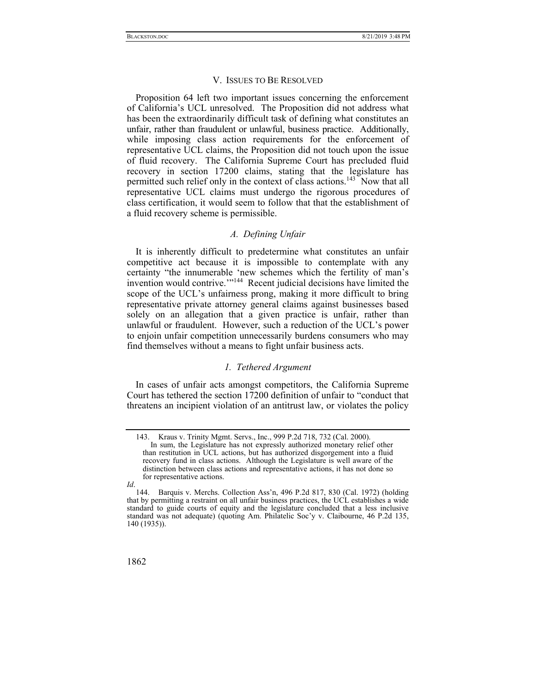#### V. ISSUES TO BE RESOLVED

Proposition 64 left two important issues concerning the enforcement of California's UCL unresolved. The Proposition did not address what has been the extraordinarily difficult task of defining what constitutes an unfair, rather than fraudulent or unlawful, business practice. Additionally, while imposing class action requirements for the enforcement of representative UCL claims, the Proposition did not touch upon the issue of fluid recovery. The California Supreme Court has precluded fluid recovery in section 17200 claims, stating that the legislature has permitted such relief only in the context of class actions.<sup>143</sup> Now that all representative UCL claims must undergo the rigorous procedures of class certification, it would seem to follow that that the establishment of a fluid recovery scheme is permissible.

# *A. Defining Unfair*

It is inherently difficult to predetermine what constitutes an unfair competitive act because it is impossible to contemplate with any certainty "the innumerable 'new schemes which the fertility of man's invention would contrive."<sup>144</sup> Recent judicial decisions have limited the scope of the UCL's unfairness prong, making it more difficult to bring representative private attorney general claims against businesses based solely on an allegation that a given practice is unfair, rather than unlawful or fraudulent. However, such a reduction of the UCL's power to enjoin unfair competition unnecessarily burdens consumers who may find themselves without a means to fight unfair business acts.

#### *1. Tethered Argument*

In cases of unfair acts amongst competitors, the California Supreme Court has tethered the section 17200 definition of unfair to "conduct that threatens an incipient violation of an antitrust law, or violates the policy

 <sup>144.</sup> Barquis v. Merchs. Collection Ass'n, 496 P.2d 817, 830 (Cal. 1972) (holding that by permitting a restraint on all unfair business practices, the UCL establishes a wide standard to guide courts of equity and the legislature concluded that a less inclusive standard was not adequate) (quoting Am. Philatelic Soc'y v. Claibourne, 46 P.2d 135, 140 (1935)).



 <sup>143.</sup> Kraus v. Trinity Mgmt. Servs., Inc., 999 P.2d 718, 732 (Cal. 2000). In sum, the Legislature has not expressly authorized monetary relief other than restitution in UCL actions, but has authorized disgorgement into a fluid recovery fund in class actions. Although the Legislature is well aware of the distinction between class actions and representative actions, it has not done so for representative actions.

*Id*.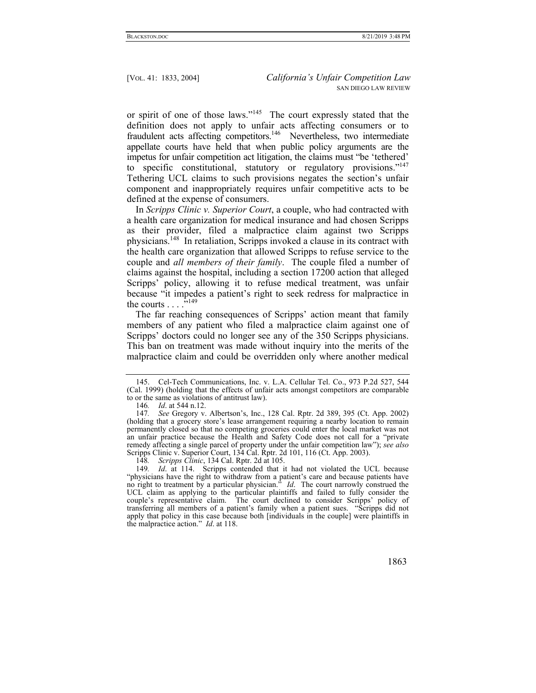or spirit of one of those laws."145 The court expressly stated that the definition does not apply to unfair acts affecting consumers or to fraudulent acts affecting competitors.<sup>146</sup> Nevertheless, two intermediate appellate courts have held that when public policy arguments are the impetus for unfair competition act litigation, the claims must "be 'tethered' to specific constitutional, statutory or regulatory provisions."<sup>147</sup> Tethering UCL claims to such provisions negates the section's unfair component and inappropriately requires unfair competitive acts to be defined at the expense of consumers.

In *Scripps Clinic v. Superior Court*, a couple, who had contracted with a health care organization for medical insurance and had chosen Scripps as their provider, filed a malpractice claim against two Scripps physicians.148 In retaliation, Scripps invoked a clause in its contract with the health care organization that allowed Scripps to refuse service to the couple and *all members of their family*. The couple filed a number of claims against the hospital, including a section 17200 action that alleged Scripps' policy, allowing it to refuse medical treatment, was unfair because "it impedes a patient's right to seek redress for malpractice in the courts  $\ldots$ <sup>5,149</sup>

The far reaching consequences of Scripps' action meant that family members of any patient who filed a malpractice claim against one of Scripps' doctors could no longer see any of the 350 Scripps physicians. This ban on treatment was made without inquiry into the merits of the malpractice claim and could be overridden only where another medical

 <sup>145.</sup> Cel-Tech Communications, Inc. v. L.A. Cellular Tel. Co., 973 P.2d 527, 544 (Cal. 1999) (holding that the effects of unfair acts amongst competitors are comparable to or the same as violations of antitrust law).

<sup>146</sup>*. Id*. at 544 n.12.

<sup>147</sup>*. See* Gregory v. Albertson's, Inc., 128 Cal. Rptr. 2d 389, 395 (Ct. App. 2002) (holding that a grocery store's lease arrangement requiring a nearby location to remain permanently closed so that no competing groceries could enter the local market was not an unfair practice because the Health and Safety Code does not call for a "private remedy affecting a single parcel of property under the unfair competition law"); *see also* Scripps Clinic v. Superior Court, 134 Cal. Rptr. 2d 101, 116 (Ct. App. 2003).

<sup>148</sup>*. Scripps Clinic*, 134 Cal. Rptr. 2d at 105.

<sup>149</sup>*. Id*. at 114. Scripps contended that it had not violated the UCL because "physicians have the right to withdraw from a patient's care and because patients have no right to treatment by a particular physician." *Id*. The court narrowly construed the UCL claim as applying to the particular plaintiffs and failed to fully consider the couple's representative claim. The court declined to consider Scripps' policy of transferring all members of a patient's family when a patient sues. "Scripps did not apply that policy in this case because both [individuals in the couple] were plaintiffs in the malpractice action." *Id*. at 118.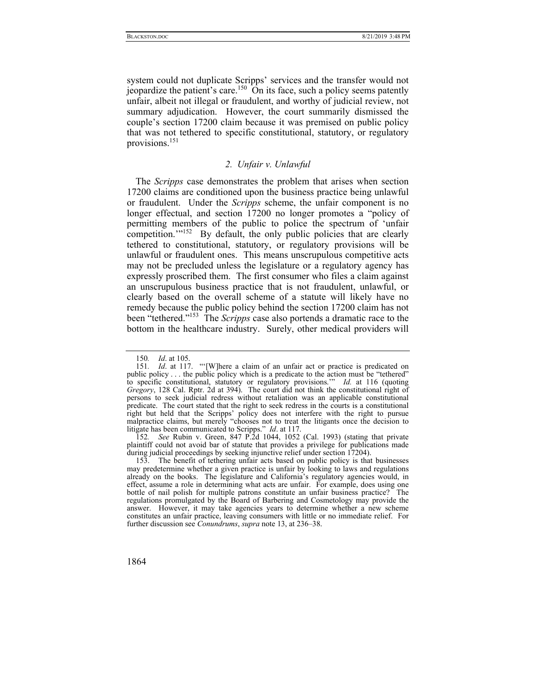system could not duplicate Scripps' services and the transfer would not jeopardize the patient's care.<sup>150</sup> On its face, such a policy seems patently unfair, albeit not illegal or fraudulent, and worthy of judicial review, not summary adjudication. However, the court summarily dismissed the couple's section 17200 claim because it was premised on public policy that was not tethered to specific constitutional, statutory, or regulatory provisions.151

## *2. Unfair v. Unlawful*

The *Scripps* case demonstrates the problem that arises when section 17200 claims are conditioned upon the business practice being unlawful or fraudulent. Under the *Scripps* scheme, the unfair component is no longer effectual, and section 17200 no longer promotes a "policy of permitting members of the public to police the spectrum of 'unfair competition.<sup>"152</sup> By default, the only public policies that are clearly tethered to constitutional, statutory, or regulatory provisions will be unlawful or fraudulent ones. This means unscrupulous competitive acts may not be precluded unless the legislature or a regulatory agency has expressly proscribed them. The first consumer who files a claim against an unscrupulous business practice that is not fraudulent, unlawful, or clearly based on the overall scheme of a statute will likely have no remedy because the public policy behind the section 17200 claim has not been "tethered."153 The *Scripps* case also portends a dramatic race to the bottom in the healthcare industry. Surely, other medical providers will

152*. See* Rubin v. Green, 847 P.2d 1044, 1052 (Cal. 1993) (stating that private plaintiff could not avoid bar of statute that provides a privilege for publications made during judicial proceedings by seeking injunctive relief under section 17204).

<sup>150</sup>*. Id*. at 105.

<sup>151</sup>*. Id*. at 117. "'[W]here a claim of an unfair act or practice is predicated on public policy . . . the public policy which is a predicate to the action must be "tethered" to specific constitutional, statutory or regulatory provisions.'" *Id.* at 116 (quoting *Gregory*, 128 Cal. Rptr. 2d at 394). The court did not think the constitutional right of persons to seek judicial redress without retaliation was an applicable constitutional predicate. The court stated that the right to seek redress in the courts is a constitutional right but held that the Scripps' policy does not interfere with the right to pursue malpractice claims, but merely "chooses not to treat the litigants once the decision to litigate has been communicated to Scripps." *Id*. at 117.

 <sup>153.</sup> The benefit of tethering unfair acts based on public policy is that businesses may predetermine whether a given practice is unfair by looking to laws and regulations already on the books. The legislature and California's regulatory agencies would, in effect, assume a role in determining what acts are unfair. For example, does using one bottle of nail polish for multiple patrons constitute an unfair business practice? The regulations promulgated by the Board of Barbering and Cosmetology may provide the answer. However, it may take agencies years to determine whether a new scheme constitutes an unfair practice, leaving consumers with little or no immediate relief. For further discussion see *Conundrums*, *supra* note 13, at 236–38.

<sup>1864</sup>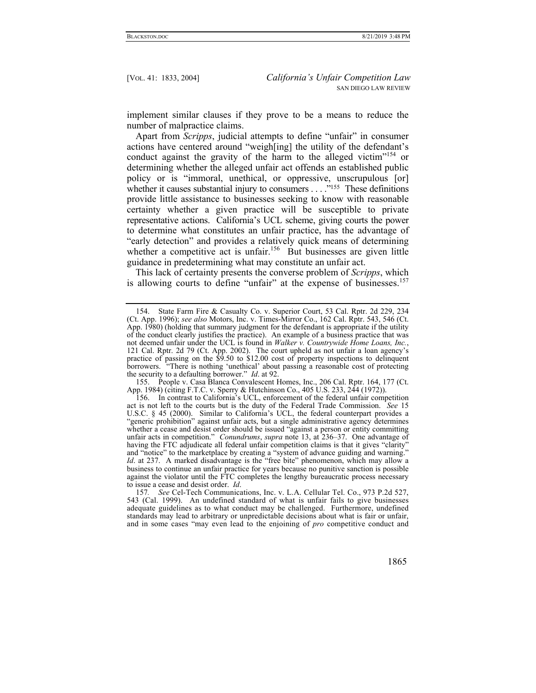implement similar clauses if they prove to be a means to reduce the number of malpractice claims.

Apart from *Scripps*, judicial attempts to define "unfair" in consumer actions have centered around "weigh[ing] the utility of the defendant's conduct against the gravity of the harm to the alleged victim<sup>"154</sup> or determining whether the alleged unfair act offends an established public policy or is "immoral, unethical, or oppressive, unscrupulous [or] whether it causes substantial injury to consumers . . . .<sup>''155</sup> These definitions provide little assistance to businesses seeking to know with reasonable certainty whether a given practice will be susceptible to private representative actions. California's UCL scheme, giving courts the power to determine what constitutes an unfair practice, has the advantage of "early detection" and provides a relatively quick means of determining whether a competitive act is unfair.<sup>156</sup> But businesses are given little guidance in predetermining what may constitute an unfair act.

This lack of certainty presents the converse problem of *Scripps*, which is allowing courts to define "unfair" at the expense of businesses.<sup>157</sup>

 155. People v. Casa Blanca Convalescent Homes, Inc., 206 Cal. Rptr. 164, 177 (Ct. App. 1984) (citing F.T.C. v. Sperry & Hutchinson Co., 405 U.S. 233, 244 (1972)).

<sup>157</sup>*. See* Cel-Tech Communications, Inc. v. L.A. Cellular Tel. Co., 973 P.2d 527, 543 (Cal. 1999). An undefined standard of what is unfair fails to give businesses adequate guidelines as to what conduct may be challenged. Furthermore, undefined standards may lead to arbitrary or unpredictable decisions about what is fair or unfair, and in some cases "may even lead to the enjoining of *pro* competitive conduct and



 <sup>154.</sup> State Farm Fire & Casualty Co. v. Superior Court, 53 Cal. Rptr. 2d 229, 234 (Ct. App. 1996); *see also* Motors, Inc. v. Times-Mirror Co., 162 Cal. Rptr. 543, 546 (Ct. App. 1980) (holding that summary judgment for the defendant is appropriate if the utility of the conduct clearly justifies the practice). An example of a business practice that was not deemed unfair under the UCL is found in *Walker v. Countrywide Home Loans, Inc.*, 121 Cal. Rptr. 2d 79 (Ct. App. 2002). The court upheld as not unfair a loan agency's practice of passing on the \$9.50 to \$12.00 cost of property inspections to delinquent borrowers. "There is nothing 'unethical' about passing a reasonable cost of protecting the security to a defaulting borrower." *Id*. at 92.

 <sup>156.</sup> In contrast to California's UCL, enforcement of the federal unfair competition act is not left to the courts but is the duty of the Federal Trade Commission. *See* 15 U.S.C. § 45 (2000). Similar to California's UCL, the federal counterpart provides a "generic prohibition" against unfair acts, but a single administrative agency determines whether a cease and desist order should be issued "against a person or entity committing unfair acts in competition." *Conundrums*, *supra* note 13, at 236–37. One advantage of having the FTC adjudicate all federal unfair competition claims is that it gives "clarity" and "notice" to the marketplace by creating a "system of advance guiding and warning." *Id*. at 237. A marked disadvantage is the "free bite" phenomenon, which may allow a business to continue an unfair practice for years because no punitive sanction is possible against the violator until the FTC completes the lengthy bureaucratic process necessary to issue a cease and desist order. *Id*.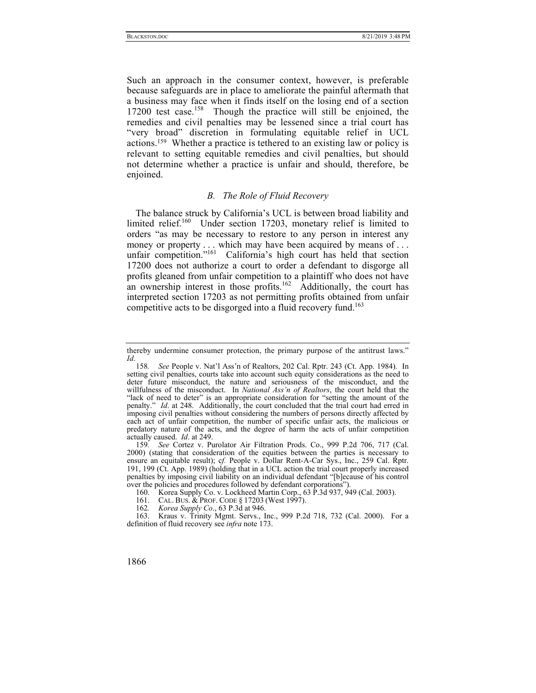Such an approach in the consumer context, however, is preferable because safeguards are in place to ameliorate the painful aftermath that a business may face when it finds itself on the losing end of a section 17200 test case.<sup>158</sup> Though the practice will still be enjoined, the remedies and civil penalties may be lessened since a trial court has "very broad" discretion in formulating equitable relief in UCL actions.159 Whether a practice is tethered to an existing law or policy is relevant to setting equitable remedies and civil penalties, but should not determine whether a practice is unfair and should, therefore, be enjoined.

# *B. The Role of Fluid Recovery*

The balance struck by California's UCL is between broad liability and limited relief.<sup>160</sup> Under section 17203, monetary relief is limited to orders "as may be necessary to restore to any person in interest any money or property . . . which may have been acquired by means of . . . unfair competition."<sup>161</sup> California's high court has held that section 17200 does not authorize a court to order a defendant to disgorge all profits gleaned from unfair competition to a plaintiff who does not have an ownership interest in those profits.<sup>162</sup> Additionally, the court has interpreted section 17203 as not permitting profits obtained from unfair competitive acts to be disgorged into a fluid recovery fund.<sup>163</sup>

thereby undermine consumer protection, the primary purpose of the antitrust laws." *Id*.

<sup>158</sup>*. See* People v. Nat'l Ass'n of Realtors, 202 Cal. Rptr. 243 (Ct. App. 1984). In setting civil penalties, courts take into account such equity considerations as the need to deter future misconduct, the nature and seriousness of the misconduct, and the willfulness of the misconduct. In *National Ass'n of Realtors*, the court held that the "lack of need to deter" is an appropriate consideration for "setting the amount of the penalty." *Id*. at 248. Additionally, the court concluded that the trial court had erred in imposing civil penalties without considering the numbers of persons directly affected by each act of unfair competition, the number of specific unfair acts, the malicious or predatory nature of the acts, and the degree of harm the acts of unfair competition actually caused. *Id*. at 249.

<sup>159</sup>*. See* Cortez v. Purolator Air Filtration Prods. Co., 999 P.2d 706, 717 (Cal. 2000) (stating that consideration of the equities between the parties is necessary to ensure an equitable result); c*f.* People v. Dollar Rent-A-Car Sys., Inc., 259 Cal. Rptr. 191, 199 (Ct. App. 1989) (holding that in a UCL action the trial court properly increased penalties by imposing civil liability on an individual defendant "[b]ecause of his control over the policies and procedures followed by defendant corporations").

 <sup>160.</sup> Korea Supply Co. v. Lockheed Martin Corp., 63 P.3d 937, 949 (Cal. 2003).

<sup>161.</sup> CAL. BUS. & PROF. CODE § 17203 (West 1997).

<sup>162</sup>*. Korea Supply Co*., 63 P.3d at 946.

 <sup>163.</sup> Kraus v. Trinity Mgmt. Servs., Inc., 999 P.2d 718, 732 (Cal. 2000). For a definition of fluid recovery see *infra* note 173.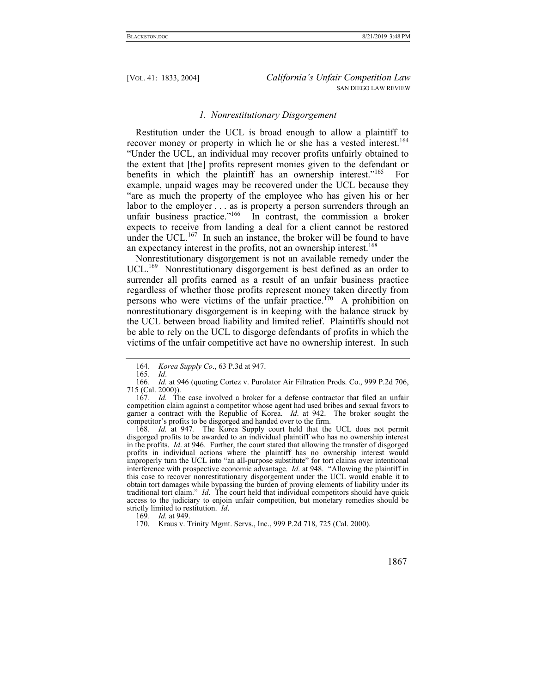## *1. Nonrestitutionary Disgorgement*

Restitution under the UCL is broad enough to allow a plaintiff to recover money or property in which he or she has a vested interest.<sup>164</sup> "Under the UCL, an individual may recover profits unfairly obtained to the extent that [the] profits represent monies given to the defendant or benefits in which the plaintiff has an ownership interest."<sup>165</sup> For example, unpaid wages may be recovered under the UCL because they "are as much the property of the employee who has given his or her labor to the employer . . . as is property a person surrenders through an unfair business practice."<sup>166</sup> In contrast, the commission a broker expects to receive from landing a deal for a client cannot be restored under the UCL. $167$  In such an instance, the broker will be found to have an expectancy interest in the profits, not an ownership interest.<sup>168</sup>

Nonrestitutionary disgorgement is not an available remedy under the UCL.<sup>169</sup> Nonrestitutionary disgorgement is best defined as an order to surrender all profits earned as a result of an unfair business practice regardless of whether those profits represent money taken directly from persons who were victims of the unfair practice.<sup>170</sup> A prohibition on nonrestitutionary disgorgement is in keeping with the balance struck by the UCL between broad liability and limited relief. Plaintiffs should not be able to rely on the UCL to disgorge defendants of profits in which the victims of the unfair competitive act have no ownership interest. In such

168*. Id.* at 947*.* The Korea Supply court held that the UCL does not permit disgorged profits to be awarded to an individual plaintiff who has no ownership interest in the profits. *Id*. at 946. Further, the court stated that allowing the transfer of disgorged profits in individual actions where the plaintiff has no ownership interest would improperly turn the UCL into "an all-purpose substitute" for tort claims over intentional interference with prospective economic advantage. *Id*. at 948. "Allowing the plaintiff in this case to recover nonrestitutionary disgorgement under the UCL would enable it to obtain tort damages while bypassing the burden of proving elements of liability under its traditional tort claim." *Id*. The court held that individual competitors should have quick access to the judiciary to enjoin unfair competition, but monetary remedies should be strictly limited to restitution. *Id*.

169*. Id.* at 949.

<sup>164</sup>*. Korea Supply Co*., 63 P.3d at 947.

<sup>165</sup>*. Id*.

<sup>166</sup>*. Id.* at 946 (quoting Cortez v. Purolator Air Filtration Prods. Co., 999 P.2d 706, 715 (Cal. 2000)).

<sup>167</sup>*. Id.* The case involved a broker for a defense contractor that filed an unfair competition claim against a competitor whose agent had used bribes and sexual favors to garner a contract with the Republic of Korea. *Id*. at 942.The broker sought the competitor's profits to be disgorged and handed over to the firm.

 <sup>170.</sup> Kraus v. Trinity Mgmt. Servs., Inc., 999 P.2d 718, 725 (Cal. 2000).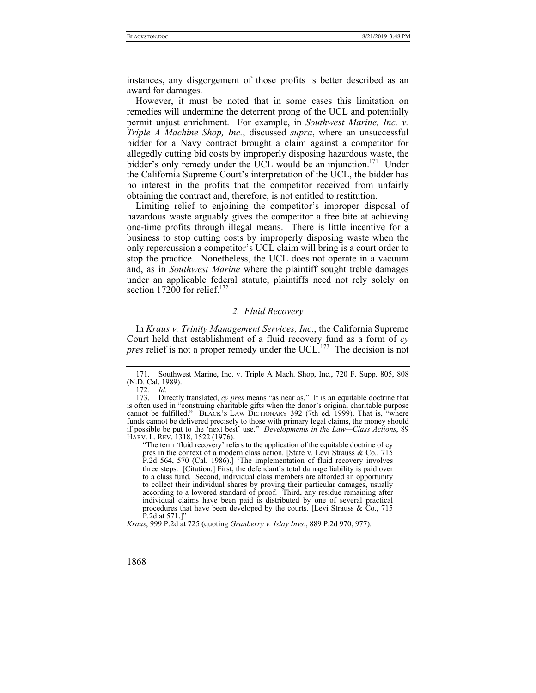instances, any disgorgement of those profits is better described as an award for damages.

However, it must be noted that in some cases this limitation on remedies will undermine the deterrent prong of the UCL and potentially permit unjust enrichment. For example, in *Southwest Marine, Inc. v. Triple A Machine Shop, Inc.*, discussed *supra*, where an unsuccessful bidder for a Navy contract brought a claim against a competitor for allegedly cutting bid costs by improperly disposing hazardous waste, the bidder's only remedy under the UCL would be an injunction.<sup>171</sup> Under the California Supreme Court's interpretation of the UCL, the bidder has no interest in the profits that the competitor received from unfairly obtaining the contract and, therefore, is not entitled to restitution.

Limiting relief to enjoining the competitor's improper disposal of hazardous waste arguably gives the competitor a free bite at achieving one-time profits through illegal means. There is little incentive for a business to stop cutting costs by improperly disposing waste when the only repercussion a competitor's UCL claim will bring is a court order to stop the practice. Nonetheless, the UCL does not operate in a vacuum and, as in *Southwest Marine* where the plaintiff sought treble damages under an applicable federal statute, plaintiffs need not rely solely on section  $17200$  for relief.<sup>172</sup>

## *2. Fluid Recovery*

In *Kraus v. Trinity Management Services, Inc.*, the California Supreme Court held that establishment of a fluid recovery fund as a form of *cy pres* relief is not a proper remedy under the UCL.<sup>173</sup> The decision is not

*Kraus*, 999 P.2d at 725 (quoting *Granberry v. Islay Invs*., 889 P.2d 970, 977).

 <sup>171.</sup> Southwest Marine, Inc. v. Triple A Mach. Shop, Inc., 720 F. Supp. 805, 808 (N.D. Cal. 1989).

<sup>172</sup>*. Id*.

 <sup>173.</sup> Directly translated, *cy pres* means "as near as." It is an equitable doctrine that is often used in "construing charitable gifts when the donor's original charitable purpose cannot be fulfilled." BLACK'S LAW DICTIONARY 392 (7th ed. 1999). That is, "where funds cannot be delivered precisely to those with primary legal claims, the money should if possible be put to the 'next best' use." *Developments in the Law—Class Actions*, 89 HARV. L. REV. 1318, 1522 (1976).

<sup>&</sup>quot;The term 'fluid recovery' refers to the application of the equitable doctrine of cy pres in the context of a modern class action. [State v. Levi Strauss & Co., 715 P.2d 564, 570 (Cal. 1986).] 'The implementation of fluid recovery involves three steps. [Citation.] First, the defendant's total damage liability is paid over to a class fund. Second, individual class members are afforded an opportunity to collect their individual shares by proving their particular damages, usually according to a lowered standard of proof. Third, any residue remaining after individual claims have been paid is distributed by one of several practical procedures that have been developed by the courts. [Levi Strauss  $\&$  Co., 715 P.2d at 571.]"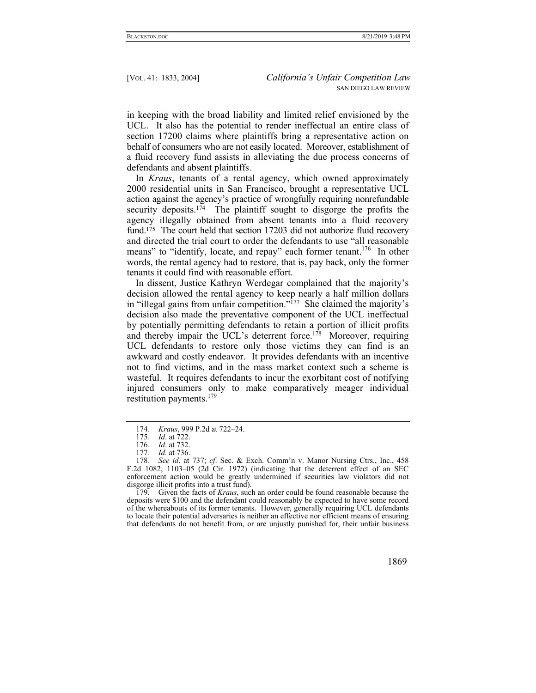in keeping with the broad liability and limited relief envisioned by the UCL. It also has the potential to render ineffectual an entire class of section 17200 claims where plaintiffs bring a representative action on behalf of consumers who are not easily located. Moreover, establishment of a fluid recovery fund assists in alleviating the due process concerns of defendants and absent plaintiffs.

In *Kraus*, tenants of a rental agency, which owned approximately 2000 residential units in San Francisco, brought a representative UCL action against the agency's practice of wrongfully requiring nonrefundable security deposits.<sup>174</sup> The plaintiff sought to disgorge the profits the agency illegally obtained from absent tenants into a fluid recovery fund.<sup>175</sup> The court held that section 17203 did not authorize fluid recovery and directed the trial court to order the defendants to use "all reasonable means" to "identify, locate, and repay" each former tenant.<sup>176</sup> In other words, the rental agency had to restore, that is, pay back, only the former tenants it could find with reasonable effort.

In dissent, Justice Kathryn Werdegar complained that the majority's decision allowed the rental agency to keep nearly a half million dollars in "illegal gains from unfair competition."<sup> $177$ </sup> She claimed the majority's decision also made the preventative component of the UCL ineffectual by potentially permitting defendants to retain a portion of illicit profits and thereby impair the UCL's deterrent force.<sup>178</sup> Moreover, requiring UCL defendants to restore only those victims they can find is an awkward and costly endeavor. It provides defendants with an incentive not to find victims, and in the mass market context such a scheme is wasteful. It requires defendants to incur the exorbitant cost of notifying injured consumers only to make comparatively meager individual restitution payments.<sup>179</sup>

 179. Given the facts of *Kraus*, such an order could be found reasonable because the deposits were \$100 and the defendant could reasonably be expected to have some record of the whereabouts of its former tenants. However, generally requiring UCL defendants to locate their potential adversaries is neither an effective nor efficient means of ensuring that defendants do not benefit from, or are unjustly punished for, their unfair business

<sup>174</sup>*. Kraus*, 999 P.2d at 722–24.

<sup>175</sup>*. Id*. at 722.

*Id.* at 732.

<sup>177</sup>*. Id.* at 736.

<sup>178</sup>*. See id*. at 737; *cf*. Sec. & Exch. Comm'n v. Manor Nursing Ctrs., Inc., 458 F.2d 1082, 1103–05 (2d Cir. 1972) (indicating that the deterrent effect of an SEC enforcement action would be greatly undermined if securities law violators did not disgorge illicit profits into a trust fund).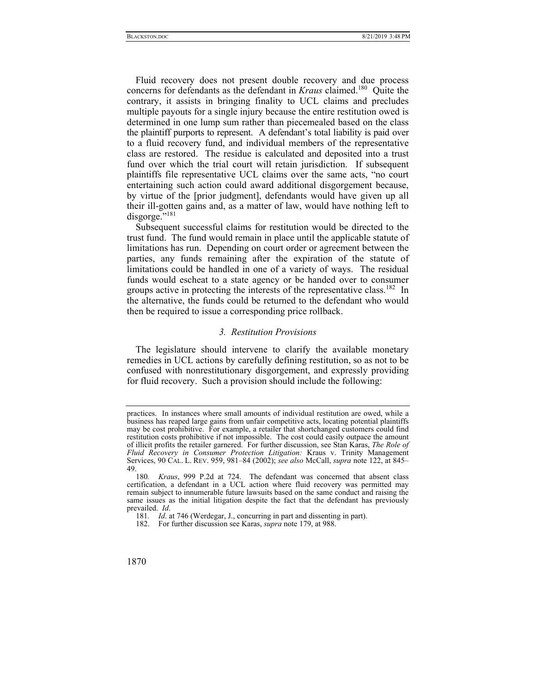Fluid recovery does not present double recovery and due process concerns for defendants as the defendant in *Kraus* claimed.<sup>180</sup> Ouite the contrary, it assists in bringing finality to UCL claims and precludes multiple payouts for a single injury because the entire restitution owed is determined in one lump sum rather than piecemealed based on the class the plaintiff purports to represent. A defendant's total liability is paid over to a fluid recovery fund, and individual members of the representative class are restored. The residue is calculated and deposited into a trust fund over which the trial court will retain jurisdiction. If subsequent plaintiffs file representative UCL claims over the same acts, "no court entertaining such action could award additional disgorgement because, by virtue of the [prior judgment], defendants would have given up all their ill-gotten gains and, as a matter of law, would have nothing left to disgorge."<sup>181</sup>

Subsequent successful claims for restitution would be directed to the trust fund. The fund would remain in place until the applicable statute of limitations has run. Depending on court order or agreement between the parties, any funds remaining after the expiration of the statute of limitations could be handled in one of a variety of ways. The residual funds would escheat to a state agency or be handed over to consumer groups active in protecting the interests of the representative class.<sup>182</sup> In the alternative, the funds could be returned to the defendant who would then be required to issue a corresponding price rollback.

## *3. Restitution Provisions*

The legislature should intervene to clarify the available monetary remedies in UCL actions by carefully defining restitution, so as not to be confused with nonrestitutionary disgorgement, and expressly providing for fluid recovery. Such a provision should include the following:

practices. In instances where small amounts of individual restitution are owed, while a business has reaped large gains from unfair competitive acts, locating potential plaintiffs may be cost prohibitive. For example, a retailer that shortchanged customers could find restitution costs prohibitive if not impossible. The cost could easily outpace the amount of illicit profits the retailer garnered. For further discussion, see Stan Karas, *The Role of Fluid Recovery in Consumer Protection Litigation:* Kraus v. Trinity Management Services, 90 CAL. L. REV. 959, 981–84 (2002); *see also* McCall, *supra* note 122, at 845– 49.

<sup>180</sup>*. Kraus*, 999 P.2d at 724. The defendant was concerned that absent class certification, a defendant in a UCL action where fluid recovery was permitted may remain subject to innumerable future lawsuits based on the same conduct and raising the same issues as the initial litigation despite the fact that the defendant has previously prevailed. *Id*.

<sup>181</sup>*. Id*. at 746 (Werdegar, J., concurring in part and dissenting in part).

 <sup>182.</sup> For further discussion see Karas, *supra* note 179, at 988.

<sup>1870</sup>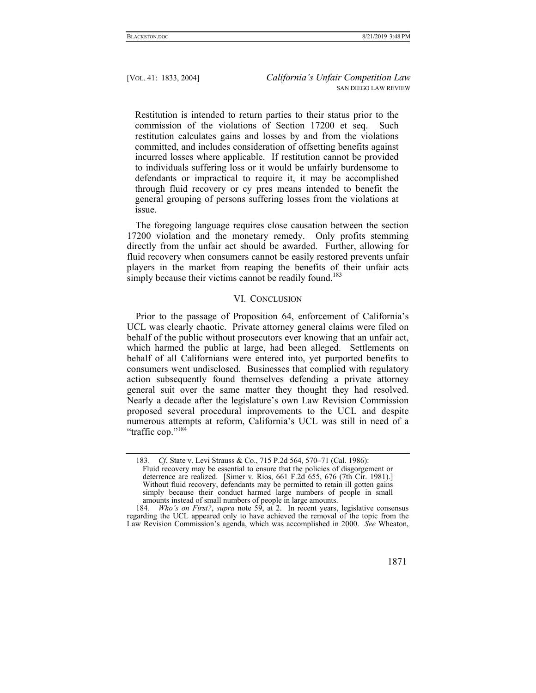Restitution is intended to return parties to their status prior to the commission of the violations of Section 17200 et seq. Such restitution calculates gains and losses by and from the violations committed, and includes consideration of offsetting benefits against incurred losses where applicable. If restitution cannot be provided to individuals suffering loss or it would be unfairly burdensome to defendants or impractical to require it, it may be accomplished through fluid recovery or cy pres means intended to benefit the general grouping of persons suffering losses from the violations at issue.

The foregoing language requires close causation between the section 17200 violation and the monetary remedy. Only profits stemming directly from the unfair act should be awarded. Further, allowing for fluid recovery when consumers cannot be easily restored prevents unfair players in the market from reaping the benefits of their unfair acts simply because their victims cannot be readily found.<sup>183</sup>

## VI. CONCLUSION

Prior to the passage of Proposition 64, enforcement of California's UCL was clearly chaotic. Private attorney general claims were filed on behalf of the public without prosecutors ever knowing that an unfair act, which harmed the public at large, had been alleged. Settlements on behalf of all Californians were entered into, yet purported benefits to consumers went undisclosed. Businesses that complied with regulatory action subsequently found themselves defending a private attorney general suit over the same matter they thought they had resolved. Nearly a decade after the legislature's own Law Revision Commission proposed several procedural improvements to the UCL and despite numerous attempts at reform, California's UCL was still in need of a "traffic cop."<sup>184</sup>

<sup>183</sup>*. Cf*. State v. Levi Strauss & Co., 715 P.2d 564, 570–71 (Cal. 1986): Fluid recovery may be essential to ensure that the policies of disgorgement or deterrence are realized. [Simer v. Rios, 661 F.2d 655, 676 (7th Cir. 1981).] Without fluid recovery, defendants may be permitted to retain ill gotten gains simply because their conduct harmed large numbers of people in small amounts instead of small numbers of people in large amounts.

<sup>184</sup>*. Who's on First?*, *supra* note 59, at 2. In recent years, legislative consensus regarding the UCL appeared only to have achieved the removal of the topic from the Law Revision Commission's agenda, which was accomplished in 2000. *See* Wheaton,